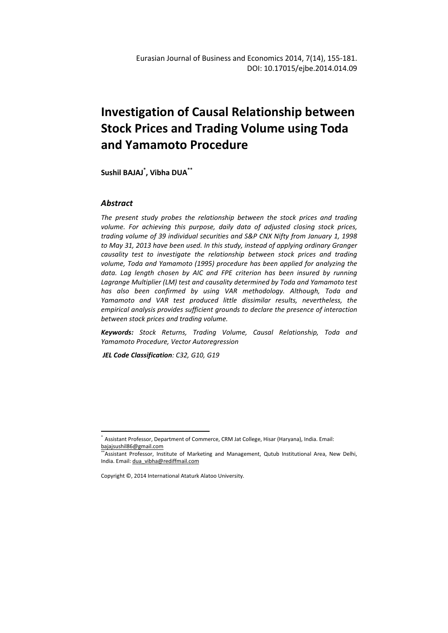# **Investigation of Causal Relationship between Stock Prices and Trading Volume using Toda and Yamamoto Procedure**

**Sushil BAJAJ\* , Vibha DUA\*\***

### *Abstract*

l

*The present study probes the relationship between the stock prices and trading volume. For achieving this purpose, daily data of adjusted closing stock prices, trading volume of 39 individual securities and S&P CNX Nifty from January 1, 1998 to May 31, 2013 have been used. In this study, instead of applying ordinary Granger causality test to investigate the relationship between stock prices and trading volume, Toda and Yamamoto (1995) procedure has been applied for analyzing the data. Lag length chosen by AIC and FPE criterion has been insured by running Lagrange Multiplier (LM) test and causality determined by Toda and Yamamoto test has also been confirmed by using VAR methodology. Although, Toda and Yamamoto and VAR test produced little dissimilar results, nevertheless, the empirical analysis provides sufficient grounds to declare the presence of interaction between stock prices and trading volume.* 

*Keywords: Stock Returns, Trading Volume, Causal Relationship, Toda and Yamamoto Procedure, Vector Autoregression*

 *JEL Code Classification: C32, G10, G19* 

<sup>\*</sup> Assistant Professor, Department of Commerce, CRM Jat College, Hisar (Haryana), India. Email: bajajsushil86@gmail.com

<sup>\*\*</sup>Assistant Professor, Institute of Marketing and Management, Qutub Institutional Area, New Delhi, India. Email: dua\_vibha@rediffmail.com

Copyright ©, 2014 International Ataturk Alatoo University.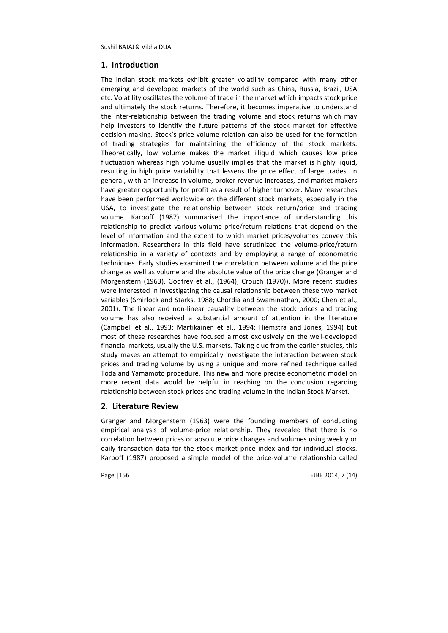### **1. Introduction**

The Indian stock markets exhibit greater volatility compared with many other emerging and developed markets of the world such as China, Russia, Brazil, USA etc. Volatility oscillates the volume of trade in the market which impacts stock price and ultimately the stock returns. Therefore, it becomes imperative to understand the inter-relationship between the trading volume and stock returns which may help investors to identify the future patterns of the stock market for effective decision making. Stock's price-volume relation can also be used for the formation of trading strategies for maintaining the efficiency of the stock markets. Theoretically, low volume makes the market illiquid which causes low price fluctuation whereas high volume usually implies that the market is highly liquid, resulting in high price variability that lessens the price effect of large trades. In general, with an increase in volume, broker revenue increases, and market makers have greater opportunity for profit as a result of higher turnover. Many researches have been performed worldwide on the different stock markets, especially in the USA, to investigate the relationship between stock return/price and trading volume. Karpoff (1987) summarised the importance of understanding this relationship to predict various volume-price/return relations that depend on the level of information and the extent to which market prices/volumes convey this information. Researchers in this field have scrutinized the volume-price/return relationship in a variety of contexts and by employing a range of econometric techniques. Early studies examined the correlation between volume and the price change as well as volume and the absolute value of the price change (Granger and Morgenstern (1963), Godfrey et al., (1964), Crouch (1970)). More recent studies were interested in investigating the causal relationship between these two market variables (Smirlock and Starks, 1988; Chordia and Swaminathan, 2000; Chen et al., 2001). The linear and non-linear causality between the stock prices and trading volume has also received a substantial amount of attention in the literature (Campbell et al., 1993; Martikainen et al., 1994; Hiemstra and Jones, 1994) but most of these researches have focused almost exclusively on the well-developed financial markets, usually the U.S. markets. Taking clue from the earlier studies, this study makes an attempt to empirically investigate the interaction between stock prices and trading volume by using a unique and more refined technique called Toda and Yamamoto procedure. This new and more precise econometric model on more recent data would be helpful in reaching on the conclusion regarding relationship between stock prices and trading volume in the Indian Stock Market.

### **2. Literature Review**

Granger and Morgenstern (1963) were the founding members of conducting empirical analysis of volume-price relationship. They revealed that there is no correlation between prices or absolute price changes and volumes using weekly or daily transaction data for the stock market price index and for individual stocks. Karpoff (1987) proposed a simple model of the price-volume relationship called

Page 1156 **EJBE 2014. 7 (14)**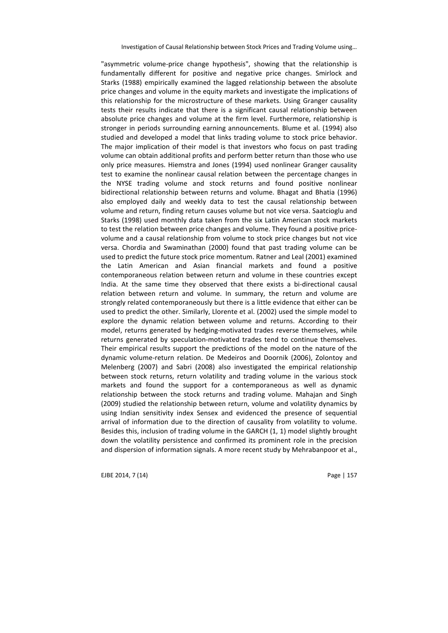"asymmetric volume-price change hypothesis", showing that the relationship is fundamentally different for positive and negative price changes. Smirlock and Starks (1988) empirically examined the lagged relationship between the absolute price changes and volume in the equity markets and investigate the implications of this relationship for the microstructure of these markets. Using Granger causality tests their results indicate that there is a significant causal relationship between absolute price changes and volume at the firm level. Furthermore, relationship is stronger in periods surrounding earning announcements. Blume et al. (1994) also studied and developed a model that links trading volume to stock price behavior. The major implication of their model is that investors who focus on past trading volume can obtain additional profits and perform better return than those who use only price measures. Hiemstra and Jones (1994) used nonlinear Granger causality test to examine the nonlinear causal relation between the percentage changes in the NYSE trading volume and stock returns and found positive nonlinear bidirectional relationship between returns and volume. Bhagat and Bhatia (1996) also employed daily and weekly data to test the causal relationship between volume and return, finding return causes volume but not vice versa. Saatcioglu and Starks (1998) used monthly data taken from the six Latin American stock markets to test the relation between price changes and volume. They found a positive pricevolume and a causal relationship from volume to stock price changes but not vice versa. Chordia and Swaminathan (2000) found that past trading volume can be used to predict the future stock price momentum. Ratner and Leal (2001) examined the Latin American and Asian financial markets and found a positive contemporaneous relation between return and volume in these countries except India. At the same time they observed that there exists a bi-directional causal relation between return and volume. In summary, the return and volume are strongly related contemporaneously but there is a little evidence that either can be used to predict the other. Similarly, Llorente et al. (2002) used the simple model to explore the dynamic relation between volume and returns. According to their model, returns generated by hedging-motivated trades reverse themselves, while returns generated by speculation-motivated trades tend to continue themselves. Their empirical results support the predictions of the model on the nature of the dynamic volume-return relation. De Medeiros and Doornik (2006), Zolontoy and Melenberg (2007) and Sabri (2008) also investigated the empirical relationship between stock returns, return volatility and trading volume in the various stock markets and found the support for a contemporaneous as well as dynamic relationship between the stock returns and trading volume. Mahajan and Singh (2009) studied the relationship between return, volume and volatility dynamics by using Indian sensitivity index Sensex and evidenced the presence of sequential arrival of information due to the direction of causality from volatility to volume. Besides this, inclusion of trading volume in the GARCH (1, 1) model slightly brought down the volatility persistence and confirmed its prominent role in the precision and dispersion of information signals. A more recent study by Mehrabanpoor et al.,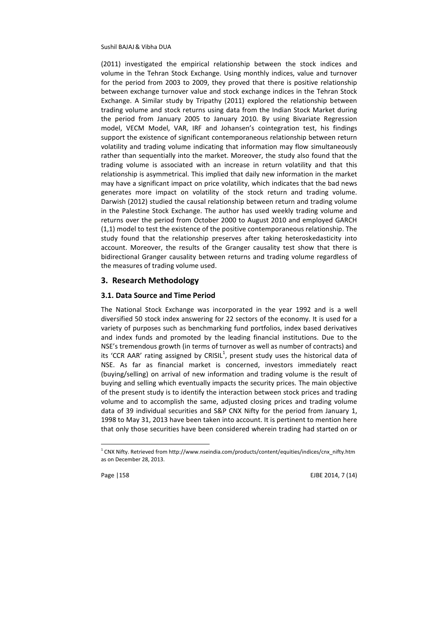(2011) investigated the empirical relationship between the stock indices and volume in the Tehran Stock Exchange. Using monthly indices, value and turnover for the period from 2003 to 2009, they proved that there is positive relationship between exchange turnover value and stock exchange indices in the Tehran Stock Exchange. A Similar study by Tripathy (2011) explored the relationship between trading volume and stock returns using data from the Indian Stock Market during the period from January 2005 to January 2010. By using Bivariate Regression model, VECM Model, VAR, IRF and Johansen's cointegration test, his findings support the existence of significant contemporaneous relationship between return volatility and trading volume indicating that information may flow simultaneously rather than sequentially into the market. Moreover, the study also found that the trading volume is associated with an increase in return volatility and that this relationship is asymmetrical. This implied that daily new information in the market may have a significant impact on price volatility, which indicates that the bad news generates more impact on volatility of the stock return and trading volume. Darwish (2012) studied the causal relationship between return and trading volume in the Palestine Stock Exchange. The author has used weekly trading volume and returns over the period from October 2000 to August 2010 and employed GARCH (1,1) model to test the existence of the positive contemporaneous relationship. The study found that the relationship preserves after taking heteroskedasticity into account. Moreover, the results of the Granger causality test show that there is bidirectional Granger causality between returns and trading volume regardless of the measures of trading volume used.

#### **3. Research Methodology**

#### **3.1. Data Source and Time Period**

The National Stock Exchange was incorporated in the year 1992 and is a well diversified 50 stock index answering for 22 sectors of the economy. It is used for a variety of purposes such as benchmarking fund portfolios, index based derivatives and index funds and promoted by the leading financial institutions. Due to the NSE's tremendous growth (in terms of turnover as well as number of contracts) and its 'CCR AAR' rating assigned by CRISIL<sup>1</sup>, present study uses the historical data of NSE. As far as financial market is concerned, investors immediately react (buying/selling) on arrival of new information and trading volume is the result of buying and selling which eventually impacts the security prices. The main objective of the present study is to identify the interaction between stock prices and trading volume and to accomplish the same, adjusted closing prices and trading volume data of 39 individual securities and S&P CNX Nifty for the period from January 1, 1998 to May 31, 2013 have been taken into account. It is pertinent to mention here that only those securities have been considered wherein trading had started on or

 $\overline{a}$ 

Page 1158 **EJBE 2014. 7** (14)

 $1$  CNX Nifty. Retrieved from http://www.nseindia.com/products/content/equities/indices/cnx\_nifty.htm as on December 28, 2013.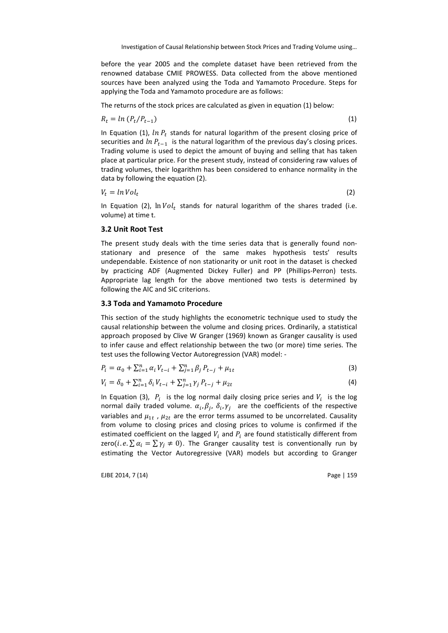before the year 2005 and the complete dataset have been retrieved from the renowned database CMIE PROWESS. Data collected from the above mentioned sources have been analyzed using the Toda and Yamamoto Procedure. Steps for applying the Toda and Yamamoto procedure are as follows:

The returns of the stock prices are calculated as given in equation (1) below:

$$
R_t = \ln \left( P_t / P_{t-1} \right) \tag{1}
$$

In Equation (1),  $ln P_t$  stands for natural logarithm of the present closing price of securities and  $ln P_{t-1}$  is the natural logarithm of the previous day's closing prices. Trading volume is used to depict the amount of buying and selling that has taken place at particular price. For the present study, instead of considering raw values of trading volumes, their logarithm has been considered to enhance normality in the data by following the equation (2).

$$
V_t = \ln Vol_t \tag{2}
$$

In Equation (2),  $ln Vol_t$  stands for natural logarithm of the shares traded (i.e. volume) at time t.

#### **3.2 Unit Root Test**

The present study deals with the time series data that is generally found nonstationary and presence of the same makes hypothesis tests' results undependable. Existence of non stationarity or unit root in the dataset is checked by practicing ADF (Augmented Dickey Fuller) and PP (Phillips-Perron) tests. Appropriate lag length for the above mentioned two tests is determined by following the AIC and SIC criterions.

#### **3.3 Toda and Yamamoto Procedure**

This section of the study highlights the econometric technique used to study the causal relationship between the volume and closing prices. Ordinarily, a statistical approach proposed by Clive W Granger (1969) known as Granger causality is used to infer cause and effect relationship between the two (or more) time series. The test uses the following Vector Autoregression (VAR) model: -

$$
P_i = \alpha_0 + \sum_{i=1}^n \alpha_i V_{t-i} + \sum_{j=1}^n \beta_j P_{t-j} + \mu_{1t}
$$
\n(3)

$$
V_i = \delta_0 + \sum_{i=1}^n \delta_i V_{t-i} + \sum_{j=1}^n \gamma_j P_{t-j} + \mu_{2t}
$$
\n(4)

In Equation (3),  $P_i$  is the log normal daily closing price series and  $V_i$  is the log normal daily traded volume.  $\alpha_i, \beta_j, \delta_i, \gamma_j$  are the coefficients of the respective variables and  $\mu_{1t}$  ,  $\mu_{2t}$  are the error terms assumed to be uncorrelated. Causality from volume to closing prices and closing prices to volume is confirmed if the estimated coefficient on the lagged  $V_i$  and  $P_i$  are found statistically different from zero(*i.e.*  $\sum \alpha_i = \sum \gamma_i \neq 0$ ). The Granger causality test is conventionally run by estimating the Vector Autoregressive (VAR) models but according to Granger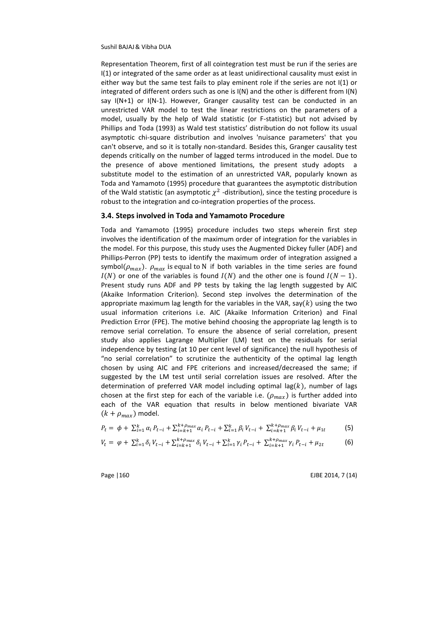Representation Theorem, first of all cointegration test must be run if the series are I(1) or integrated of the same order as at least unidirectional causality must exist in either way but the same test fails to play eminent role if the series are not I(1) or integrated of different orders such as one is  $I(N)$  and the other is different from  $I(N)$ say  $I(N+1)$  or  $I(N-1)$ . However, Granger causality test can be conducted in an unrestricted VAR model to test the linear restrictions on the parameters of a model, usually by the help of Wald statistic (or F-statistic) but not advised by Phillips and Toda (1993) as Wald test statistics' distribution do not follow its usual asymptotic chi-square distribution and involves 'nuisance parameters' that you can't observe, and so it is totally non-standard. Besides this, Granger causality test depends critically on the number of lagged terms introduced in the model. Due to the presence of above mentioned limitations, the present study adopts a substitute model to the estimation of an unrestricted VAR, popularly known as Toda and Yamamoto (1995) procedure that guarantees the asymptotic distribution of the Wald statistic (an asymptotic  $\chi^2$  -distribution), since the testing procedure is robust to the integration and co-integration properties of the process.

#### **3.4. Steps involved in Toda and Yamamoto Procedure**

Toda and Yamamoto (1995) procedure includes two steps wherein first step involves the identification of the maximum order of integration for the variables in the model. For this purpose, this study uses the Augmented Dickey fuller (ADF) and Phillips-Perron (PP) tests to identify the maximum order of integration assigned a symbol( $\rho_{max}$ ).  $\rho_{max}$  is equal to N if both variables in the time series are found  $I(N)$  or one of the variables is found  $I(N)$  and the other one is found  $I(N-1)$ . Present study runs ADF and PP tests by taking the lag length suggested by AIC (Akaike Information Criterion). Second step involves the determination of the appropriate maximum lag length for the variables in the VAR, say( $k$ ) using the two usual information criterions i.e. AIC (Akaike Information Criterion) and Final Prediction Error (FPE). The motive behind choosing the appropriate lag length is to remove serial correlation. To ensure the absence of serial correlation, present study also applies Lagrange Multiplier (LM) test on the residuals for serial independence by testing (at 10 per cent level of significance) the null hypothesis of "no serial correlation" to scrutinize the authenticity of the optimal lag length chosen by using AIC and FPE criterions and increased/decreased the same; if suggested by the LM test until serial correlation issues are resolved. After the determination of preferred VAR model including optimal lag( $k$ ), number of lags chosen at the first step for each of the variable i.e.  $(\rho_{max})$  is further added into each of the VAR equation that results in below mentioned bivariate VAR  $(k + \rho_{max})$  model.

$$
P_t = \phi + \sum_{i=1}^k \alpha_i P_{t-i} + \sum_{i=k+1}^{k+\rho_{max}} \alpha_i P_{t-i} + \sum_{i=1}^k \beta_i V_{t-i} + \sum_{i=k+1}^{k+\rho_{max}} \beta_i V_{t-i} + \mu_{1t}
$$
(5)

$$
V_t = \varphi + \sum_{i=1}^k \delta_i V_{t-i} + \sum_{i=k+1}^{k+\rho_{max}} \delta_i V_{t-i} + \sum_{i=1}^k \gamma_i P_{t-i} + \sum_{i=k+1}^{k+\rho_{max}} \gamma_i P_{t-i} + \mu_{2t}
$$
(6)

Page 1160 **EJBE 2014. 7 (14)**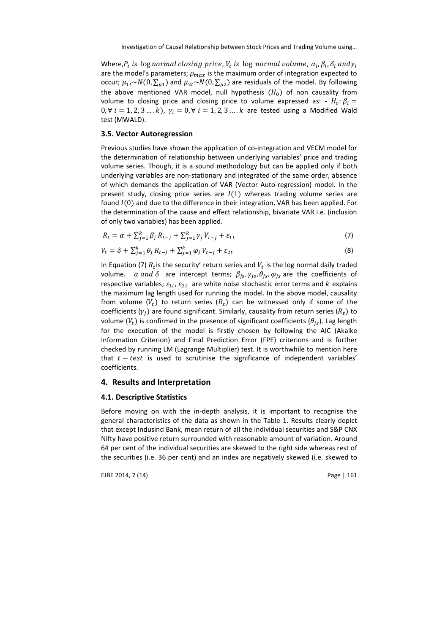Where, $P_t$  is  $\lognormal{normal}$  closing price,  $V_t$  is  $\log$  normal volume,  $\alpha_i$ ,  $\beta_i$ ,  $\delta_i$  and $\gamma_i$ are the model's parameters;  $\rho_{max}$  is the maximum order of integration expected to occur;  $\mu_{1t}$ ~ $N(0, \sum_{\mu 1})$  and  $\mu_{2t}$ ~ $N(0, \sum_{\mu 2})$  are residuals of the model. By following the above mentioned VAR model, null hypothesis  $(H_0)$  of non causality from volume to closing price and closing price to volume expressed as:  $-H_0$ :  $\beta_i =$ 0, ∀  $i = 1, 2, 3, ..., k$ ,  $\gamma_i = 0$ , ∀  $i = 1, 2, 3, ..., k$  are tested using a Modified Wald test (MWALD).

#### **3.5. Vector Autoregression**

Previous studies have shown the application of co-integration and VECM model for the determination of relationship between underlying variables' price and trading volume series. Though, it is a sound methodology but can be applied only if both underlying variables are non-stationary and integrated of the same order, absence of which demands the application of VAR (Vector Auto-regression) model. In the present study, closing price series are  $I(1)$  whereas trading volume series are found  $I(0)$  and due to the difference in their integration, VAR has been applied. For the determination of the cause and effect relationship, bivariate VAR i.e. (inclusion of only two variables) has been applied.

$$
R_t = \alpha + \sum_{j=1}^k \beta_j R_{t-j} + \sum_{j=1}^k \gamma_j V_{t-j} + \varepsilon_{1t}
$$
\n(7)

$$
V_t = \delta + \sum_{j=1}^k \theta_j R_{t-j} + \sum_{j=1}^k \varphi_j V_{t-j} + \varepsilon_{2t}
$$
 (8)

In Equation (7)  $R_t$  is the security' return series and  $V_t$  is the log normal daily traded volume.  $\alpha$  and  $\delta$  are intercept terms;  $\beta_{js}$ ,  $\gamma_{js}$ ,  $\theta_{js}$ ,  $\varphi_{js}$  are the coefficients of respective variables;  $\varepsilon_{1t}$ ,  $\varepsilon_{2t}$  are white noise stochastic error terms and  $k$  explains the maximum lag length used for running the model. In the above model, causality from volume  $(V_t)$  to return series  $(R_t)$  can be witnessed only if some of the coefficients ( $\gamma_j$ ) are found significant. Similarly, causality from return series ( $R_t$ ) to volume ( $V_t$ ) is confirmed in the presence of significant coefficients ( $\theta_{js}$ ). Lag length for the execution of the model is firstly chosen by following the AIC (Akaike Information Criterion) and Final Prediction Error (FPE) criterions and is further checked by running LM (Lagrange Multiplier) test. It is worthwhile to mention here that  $t - test$  is used to scrutinise the significance of independent variables' coefficients.

### **4. Results and Interpretation**

#### **4.1. Descriptive Statistics**

Before moving on with the in-depth analysis, it is important to recognise the general characteristics of the data as shown in the Table 1. Results clearly depict that except Indusind Bank, mean return of all the individual securities and S&P CNX Nifty have positive return surrounded with reasonable amount of variation. Around 64 per cent of the individual securities are skewed to the right side whereas rest of the securities (i.e. 36 per cent) and an index are negatively skewed (i.e. skewed to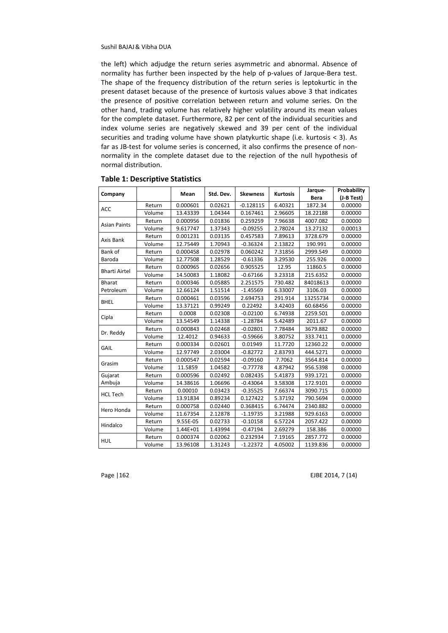the left) which adjudge the return series asymmetric and abnormal. Absence of normality has further been inspected by the help of p-values of Jarque-Bera test. The shape of the frequency distribution of the return series is leptokurtic in the present dataset because of the presence of kurtosis values above 3 that indicates the presence of positive correlation between return and volume series. On the other hand, trading volume has relatively higher volatility around its mean values for the complete dataset. Furthermore, 82 per cent of the individual securities and index volume series are negatively skewed and 39 per cent of the individual securities and trading volume have shown platykurtic shape (i.e. kurtosis < 3). As far as JB-test for volume series is concerned, it also confirms the presence of nonnormality in the complete dataset due to the rejection of the null hypothesis of normal distribution.

| Company              |        | Mean     | Std. Dev. | <b>Skewness</b> | <b>Kurtosis</b> | Jarque-     | Probability |
|----------------------|--------|----------|-----------|-----------------|-----------------|-------------|-------------|
|                      |        |          |           |                 |                 | <b>Bera</b> | (J-B Test)  |
| <b>ACC</b>           | Return | 0.000601 | 0.02621   | $-0.128115$     | 6.40321         | 1872.34     | 0.00000     |
|                      | Volume | 13.43339 | 1.04344   | 0.167461        | 2.96605         | 18.22188    | 0.00000     |
| <b>Asian Paints</b>  | Return | 0.000956 | 0.01836   | 0.259259        | 7.96638         | 4007.082    | 0.00000     |
|                      | Volume | 9.617747 | 1.37343   | $-0.09255$      | 2.78024         | 13.27132    | 0.00013     |
| Axis Bank            | Return | 0.001231 | 0.03135   | 0.457583        | 7.89613         | 3728.679    | 0.00000     |
|                      | Volume | 12.75449 | 1.70943   | $-0.36324$      | 2.13822         | 190.991     | 0.00000     |
| Bank of              | Return | 0.000458 | 0.02978   | 0.060242        | 7.31856         | 2999.549    | 0.00000     |
| Baroda               | Volume | 12.77508 | 1.28529   | $-0.61336$      | 3.29530         | 255.926     | 0.00000     |
| <b>Bharti Airtel</b> | Return | 0.000965 | 0.02656   | 0.905525        | 12.95           | 11860.5     | 0.00000     |
|                      | Volume | 14.50083 | 1.18082   | $-0.67166$      | 3.23318         | 215.6352    | 0.00000     |
| <b>Bharat</b>        | Return | 0.000346 | 0.05885   | 2.251575        | 730.482         | 84018613    | 0.00000     |
| Petroleum            | Volume | 12.66124 | 1.51514   | $-1.45569$      | 6.33007         | 3106.03     | 0.00000     |
| <b>BHEL</b>          | Return | 0.000461 | 0.03596   | 2.694753        | 291.914         | 13255734    | 0.00000     |
|                      | Volume | 13.37121 | 0.99249   | 0.22492         | 3.42403         | 60.68456    | 0.00000     |
|                      | Return | 0.0008   | 0.02308   | $-0.02100$      | 6.74938         | 2259.501    | 0.00000     |
| Cipla                | Volume | 13.54549 | 1.14338   | $-1.28784$      | 5.42489         | 2011.67     | 0.00000     |
| Dr. Reddy            | Return | 0.000843 | 0.02468   | $-0.02801$      | 7.78484         | 3679.882    | 0.00000     |
|                      | Volume | 12.4012  | 0.94633   | $-0.59666$      | 3.80752         | 333.7411    | 0.00000     |
| GAIL                 | Return | 0.000334 | 0.02601   | 0.01949         | 11.7720         | 12360.22    | 0.00000     |
|                      | Volume | 12.97749 | 2.03004   | $-0.82772$      | 2.83793         | 444.5271    | 0.00000     |
| Grasim               | Return | 0.000547 | 0.02594   | $-0.09160$      | 7.7062          | 3564.814    | 0.00000     |
|                      | Volume | 11.5859  | 1.04582   | $-0.77778$      | 4.87942         | 956.5398    | 0.00000     |
| Gujarat              | Return | 0.000596 | 0.02492   | 0.082435        | 5.41873         | 939.1721    | 0.00000     |
| Ambuja               | Volume | 14.38616 | 1.06696   | $-0.43064$      | 3.58308         | 172.9101    | 0.00000     |
| <b>HCL Tech</b>      | Return | 0.00010  | 0.03423   | $-0.35525$      | 7.66374         | 3090.715    | 0.00000     |
|                      | Volume | 13.91834 | 0.89234   | 0.127422        | 5.37192         | 790.5694    | 0.00000     |
| Hero Honda           | Return | 0.000758 | 0.02440   | 0.368415        | 6.74474         | 2340.882    | 0.00000     |
|                      | Volume | 11.67354 | 2.12878   | $-1.19735$      | 3.21988         | 929.6163    | 0.00000     |
| Hindalco             | Return | 9.55E-05 | 0.02733   | $-0.10158$      | 6.57224         | 2057.422    | 0.00000     |
|                      | Volume | 1.44E+01 | 1.43994   | $-0.47194$      | 2.69279         | 158.386     | 0.00000     |
| HUL                  | Return | 0.000374 | 0.02062   | 0.232934        | 7.19165         | 2857.772    | 0.00000     |
|                      | Volume | 13.96108 | 1.31243   | $-1.22372$      | 4.05002         | 1139.836    | 0.00000     |

#### **Table 1: Descriptive Statistics**

Page | 162 EJBE 2014, 7 (14)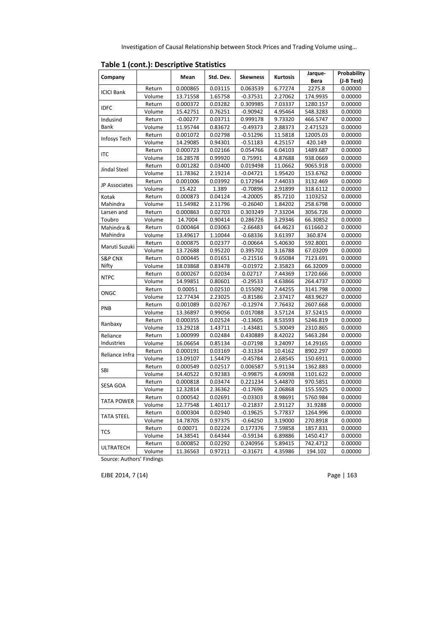Investigation of Causal Relationship between Stock Prices and Trading Volume using…

|                    |        |            |           |                 |                 | Jarque-     | <b>Probability</b> |
|--------------------|--------|------------|-----------|-----------------|-----------------|-------------|--------------------|
| Company            |        | Mean       | Std. Dev. | <b>Skewness</b> | <b>Kurtosis</b> | <b>Bera</b> | (J-B Test)         |
|                    | Return | 0.000865   | 0.03115   | 0.063539        | 6.77274         | 2275.8      | 0.00000            |
| <b>ICICI Bank</b>  | Volume | 13.71558   | 1.65758   | $-0.37531$      | 2.27062         | 174.9935    | 0.00000            |
|                    | Return | 0.000372   | 0.03282   | 0.309985        | 7.03337         | 1280.157    | 0.00000            |
| <b>IDFC</b>        | Volume | 15.42751   | 0.76251   | $-0.90942$      | 4.95464         | 548.3283    | 0.00000            |
| Indusind           | Return | $-0.00277$ | 0.03711   | 0.999178        | 9.73320         | 466.5747    | 0.00000            |
| Bank               | Volume | 11.95744   | 0.83672   | $-0.49373$      | 2.88373         | 2.471523    | 0.00000            |
|                    | Return | 0.001072   | 0.02798   | $-0.51296$      | 11.5818         | 12005.03    | 0.00000            |
| Infosys Tech       | Volume | 14.29085   | 0.94301   | $-0.51183$      | 4.25157         | 420.149     | 0.00000            |
|                    | Return | 0.000723   | 0.02166   | 0.054766        | 6.04103         | 1489.687    | 0.00000            |
| <b>ITC</b>         | Volume | 16.28578   | 0.99920   | 0.75991         | 4.87688         | 938.0669    | 0.00000            |
|                    | Return | 0.001282   | 0.03400   | 0.019498        | 11.0662         | 9065.918    | 0.00000            |
| Jindal Steel       | Volume | 11.78362   | 2.19214   | $-0.04721$      | 1.95420         | 153.6762    | 0.00000            |
|                    | Return | 0.001006   | 0.03992   | 0.172964        | 7.44033         | 3132.469    | 0.00000            |
| JP Associates      | Volume | 15.422     | 1.389     | $-0.70896$      | 2.91899         | 318.6112    | 0.00000            |
| Kotak              | Return | 0.000873   | 0.04124   | $-4.20005$      | 85.7210         | 1103252     | 0.00000            |
| Mahindra           | Volume | 11.54982   | 2.11796   | $-0.26040$      | 1.84202         | 258.6798    | 0.00000            |
| Larsen and         | Return | 0.000863   | 0.02703   | 0.303249        | 7.33204         | 3056.726    | 0.00000            |
| Toubro             | Volume | 14.7004    | 0.90414   | 0.286726        | 3.29346         | 66.30852    | 0.00000            |
| Mahindra &         | Return | 0.000464   | 0.03063   | $-2.66483$      | 64.4623         | 611660.2    | 0.00000            |
| Mahindra           | Volume | 13.49617   | 1.10044   | $-0.68336$      | 3.61397         | 360.874     | 0.00000            |
| Maruti Suzuki      | Return | 0.000875   | 0.02377   | $-0.00664$      | 5.40630         | 592.8001    | 0.00000            |
|                    | Volume | 13.72688   | 0.95220   | 0.395702        | 3.16788         | 67.03209    | 0.00000            |
| <b>S&amp;P CNX</b> | Return | 0.000445   | 0.01651   | $-0.21516$      | 9.65084         | 7123.691    | 0.00000            |
| Nifty              | Volume | 18.03868   | 0.83478   | $-0.01972$      | 2.35823         | 66.32009    | 0.00000            |
| <b>NTPC</b>        | Return | 0.000267   | 0.02034   | 0.02717         | 7.44369         | 1720.666    | 0.00000            |
|                    | Volume | 14.99851   | 0.80601   | $-0.29533$      | 4.63866         | 264.4737    | 0.00000            |
| ONGC               | Return | 0.00051    | 0.02510   | 0.155092        | 7.44255         | 3141.798    | 0.00000            |
|                    | Volume | 12.77434   | 2.23025   | $-0.81586$      | 2.37417         | 483.9627    | 0.00000            |
| PNB                | Return | 0.001089   | 0.02767   | $-0.12974$      | 7.76432         | 2607.668    | 0.00000            |
|                    | Volume | 13.36897   | 0.99056   | 0.017088        | 3.57124         | 37.52415    | 0.00000            |
| Ranbaxy            | Return | 0.000355   | 0.02524   | $-0.13605$      | 8.53593         | 5246.819    | 0.00000            |
|                    | Volume | 13.29218   | 1.43711   | $-1.43481$      | 5.30049         | 2310.865    | 0.00000            |
| Reliance           | Return | 1.000999   | 0.02484   | 0.430889        | 8.42022         | 5463.284    | 0.00000            |
| Industries         | Volume | 16.06654   | 0.85134   | $-0.07198$      | 3.24097         | 14.29165    | 0.00000            |
| Reliance Infra     | Return | 0.000191   | 0.03169   | $-0.31334$      | 10.4162         | 8902.297    | 0.00000            |
|                    | Volume | 13.09107   | 1.54479   | $-0.45784$      | 2.68545         | 150.6911    | 0.00000            |
| SBI                | Return | 0.000549   | 0.02517   | 0.006587        | 5.91134         | 1362.883    | 0.00000            |
|                    | Volume | 14.40522   | 0.92383   | $-0.99875$      | 4.69098         | 1101.622    | 0.00000            |
| SESA GOA           | Return | 0.000818   | 0.03474   | 0.221234        | 5.44870         | 970.5851    | 0.00000            |
|                    | Volume | 12.32814   | 2.36362   | $-0.17696$      | 2.06868         | 155.5925    | 0.00000            |
| <b>TATA POWER</b>  | Return | 0.000542   | 0.02691   | $-0.03303$      | 8.98691         | 5760.984    | 0.00000            |
|                    | Volume | 12.77548   | 1.40117   | $-0.21837$      | 2.91127         | 31.9288     | 0.00000            |
| <b>TATA STEEL</b>  | Return | 0.000304   | 0.02940   | $-0.19625$      | 5.77837         | 1264.996    | 0.00000            |
|                    | Volume | 14.78705   | 0.97375   | $-0.64250$      | 3.19000         | 270.8918    | 0.00000            |
| <b>TCS</b>         | Return | 0.00071    | 0.02224   | 0.177376        | 7.59858         | 1857.831    | 0.00000            |
|                    | Volume | 14.38541   | 0.64344   | $-0.59134$      | 6.89886         | 1450.417    | 0.00000            |
| <b>ULTRATECH</b>   | Return | 0.000852   | 0.02292   | 0.240956        | 5.89415         | 742.4712    | 0.00000            |
|                    | Volume | 11.36563   | 0.97211   | $-0.31671$      | 4.35986         | 194.102     | 0.00000            |

**Table 1 (cont.): Descriptive Statistics**

Source: Authors' Findings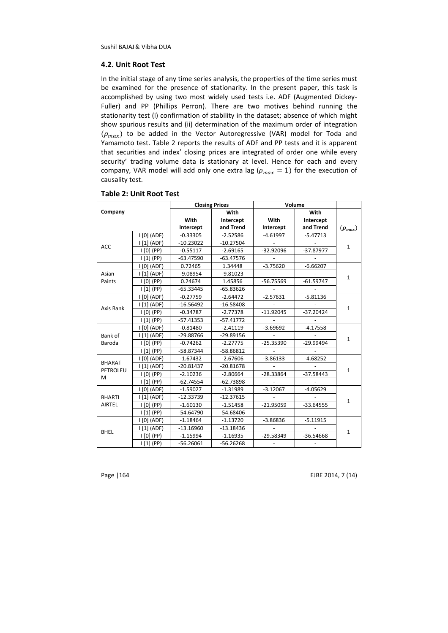#### **4.2. Unit Root Test**

In the initial stage of any time series analysis, the properties of the time series must be examined for the presence of stationarity. In the present paper, this task is accomplished by using two most widely used tests i.e. ADF (Augmented Dickey-Fuller) and PP (Phillips Perron). There are two motives behind running the stationarity test (i) confirmation of stability in the dataset; absence of which might show spurious results and (ii) determination of the maximum order of integration  $(\rho_{max})$  to be added in the Vector Autoregressive (VAR) model for Toda and Yamamoto test. Table 2 reports the results of ADF and PP tests and it is apparent that securities and index' closing prices are integrated of order one while every security' trading volume data is stationary at level. Hence for each and every company, VAR model will add only one extra lag ( $\rho_{max} = 1$ ) for the execution of causality test.

|               |                                 |             | <b>Closing Prices</b> |                          | Volume      |                |
|---------------|---------------------------------|-------------|-----------------------|--------------------------|-------------|----------------|
| Company       |                                 |             | With                  |                          | With        |                |
|               |                                 | With        | Intercept             | With                     | Intercept   |                |
|               |                                 | Intercept   | and Trend             | Intercept                | and Trend   | $(\rho_{max})$ |
|               | $ 0 $ (ADF)                     | $-0.33305$  | $-2.52586$            | $-4.61997$               | $-5.47713$  |                |
| ACC           | 111 (ADF)                       | $-10.23022$ | $-10.27504$           |                          |             | $\mathbf{1}$   |
|               | $I[0]$ (PP)                     | $-0.55117$  | $-2.69165$            | $-32.92096$              | $-37.87977$ |                |
|               | $\lfloor 1 \rfloor$ (PP)        | $-63.47590$ | $-63.47576$           |                          |             |                |
|               | $ 0 $ (ADF)                     | 0.72465     | 1.34448               | $-3.75620$               | $-6.66207$  |                |
| Asian         | 111(ADF)                        | $-9.08954$  | $-9.81023$            |                          |             | $\mathbf{1}$   |
| Paints        | 00(PP)                          | 0.24674     | 1.45856               | $-56.75569$              | $-61.59747$ |                |
|               | $\lfloor 1 \rfloor$ (PP)        | $-65.33445$ | $-65.83626$           |                          |             |                |
|               | I [0] (ADF)                     | $-0.27759$  | $-2.64472$            | $-2.57631$               | $-5.81136$  |                |
| Axis Bank     | 111(ADF)                        | $-16.56492$ | $-16.58408$           |                          |             | $\mathbf{1}$   |
|               | $ 0 $ (PP)                      | $-0.34787$  | $-2.77378$            | $-11.92045$              | $-37.20424$ |                |
|               | $\lfloor 1 \rfloor$ (PP)        | $-57.41353$ | $-57.41772$           |                          |             |                |
|               | I [0] (ADF)                     | $-0.81480$  | $-2.41119$            | $-3.69692$               | $-4.17558$  |                |
| Bank of       | $ 1 1 $ (ADF)                   | $-29.88766$ | $-29.89156$           |                          |             | $\mathbf{1}$   |
| Baroda        | $ 0 $ (PP)                      | $-0.74262$  | $-2.27775$            | $-25.35390$              | $-29.99494$ |                |
|               | $\left[1\right]$ (PP)           | -58.87344   | $-58.86812$           |                          |             |                |
|               | I [0] (ADF)                     | $-1.67432$  | $-2.67606$            | $-3.86133$               | $-4.68252$  |                |
| <b>BHARAT</b> | 111(ADF)                        | $-20.81437$ | $-20.81678$           |                          |             |                |
| PETROLEU<br>М | $ 0 $ (PP)                      | $-2.10236$  | $-2.80664$            | $-28.33864$              | $-37.58443$ | $\mathbf{1}$   |
|               | 111(PP)                         | $-62.74554$ | $-62.73898$           |                          |             |                |
|               | I [0] (ADF)                     | $-1.59027$  | $-1.31989$            | $-3.12067$               | $-4.05629$  |                |
| <b>BHARTI</b> | 111(ADF)                        | $-12.33739$ | $-12.37615$           | $\overline{a}$           |             | $\mathbf{1}$   |
| <b>AIRTEL</b> | 01(PP)                          | $-1.60130$  | $-1.51458$            | $-21.95059$              | $-33.64555$ |                |
|               | $\lfloor 1 \rfloor$ (PP)        | $-54.64790$ | -54.68406             |                          |             |                |
|               |                                 | $-1.18464$  | $-1.13720$            | $-3.86836$               | $-5.11915$  |                |
|               | 111 (ADF)                       | $-13.16960$ | $-13.18436$           |                          |             |                |
| <b>BHEL</b>   | $\mathsf{I}\left[0\right]$ (PP) | $-1.15994$  | $-1.16935$            | $-29.58349$              | $-36.54668$ | $\mathbf{1}$   |
|               | 111(PP)                         | $-56.26061$ | $-56.26268$           | $\overline{\phantom{a}}$ |             |                |

#### **Table 2: Unit Root Test**

Page | 164 EJBE 2014, 7 (14)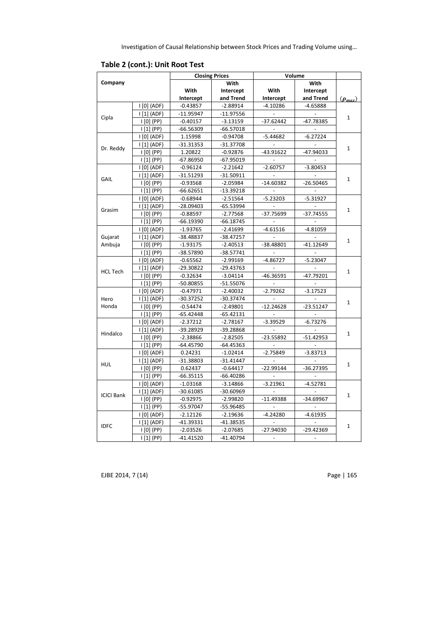|                                                |                  |             | <b>Closing Prices</b> | Volume                   |             |                             |
|------------------------------------------------|------------------|-------------|-----------------------|--------------------------|-------------|-----------------------------|
| Company                                        |                  |             | With                  |                          | With        |                             |
|                                                |                  | With        | Intercept             | With                     | Intercept   |                             |
|                                                |                  | Intercept   | and Trend             | Intercept                | and Trend   | $(\boldsymbol{\rho}_{max})$ |
|                                                | $ 0 $ (ADF)      | $-0.43857$  | $-2.88914$            | $-4.10286$               | $-4.65888$  |                             |
|                                                | 111(ADF)         | $-11.95947$ | $-11.97556$           |                          |             |                             |
| Cipla                                          | $ 0 $ (PP)       | $-0.40157$  | $-3.13159$            | $-37.62442$              | -47.78385   | $\mathbf{1}$                |
|                                                | $\vert$ [1] (PP) | $-66.56309$ | $-66.57018$           |                          |             |                             |
|                                                | $[0]$ (ADF)      | 1.15998     | $-0.94708$            | $-5.44682$               | $-6.27224$  |                             |
|                                                | 111(ADF)         | $-31.31353$ | $-31.37708$           |                          |             |                             |
| Dr. Reddy                                      | $ 0 $ (PP)       | 1.20822     | $-0.92876$            | $-43.91622$              | $-47.94033$ | $\mathbf{1}$                |
|                                                | $\vert$ [1] (PP) | $-67.86950$ | $-67.95019$           |                          |             |                             |
|                                                | $ 0 $ (ADF)      | $-0.96124$  | $-2.21642$            | $-2.60757$               | $-3.80453$  |                             |
|                                                | $ 111$ (ADF)     | $-31.51293$ | $-31.50911$           |                          |             | $\mathbf{1}$                |
| GAIL<br>Grasim                                 | $ 0 $ (PP)       | $-0.93568$  | $-2.05984$            | $-14.60382$              | $-26.50465$ |                             |
|                                                | $ 11 $ (PP)      | $-66.62651$ | $-13.39218$           |                          |             |                             |
|                                                | $ 0 $ (ADF)      | $-0.68944$  | $-2.51564$            | $-5.23203$               | $-5.31927$  |                             |
|                                                | $ 111$ (ADF)     | $-28.09403$ | $-65.53994$           |                          |             | $\mathbf{1}$                |
|                                                | $ 0 $ (PP)       | $-0.88597$  | $-2.77568$            | -37.75699                | $-37.74555$ |                             |
|                                                | $\vert$ [1] (PP) | $-66.19390$ | $-66.18745$           |                          |             |                             |
|                                                | $ 0 $ (ADF)      | $-1.93765$  | $-2.41699$            | $-4.61516$               | $-4.81059$  |                             |
| Gujarat                                        | 111(ADF)         | -38.48837   | $-38.47257$           |                          |             | $\mathbf{1}$                |
| Ambuja                                         | $ 0 $ (PP)       | $-1.93175$  | $-2.40513$            | $-38.48801$              | $-41.12649$ |                             |
|                                                | $\vert$ [1] (PP) | -38.57890   | $-38.57741$           |                          |             |                             |
|                                                | $ 0 $ (ADF)      | $-0.65562$  | $-2.99169$            | $-4.86727$               | $-5.23047$  |                             |
| <b>HCL Tech</b>                                | 111(ADF)         | $-29.30822$ | $-29.43763$           |                          |             | $\mathbf{1}$                |
|                                                | $ 0 $ (PP)       | $-0.32634$  | $-3.04114$            | $-46.36591$              | $-47.79201$ |                             |
|                                                | $\vert$ [1] (PP) | $-50.80855$ | $-51.55076$           |                          |             |                             |
|                                                | $ 0 $ (ADF)      | $-0.47971$  | $-2.40032$            | $-2.79262$               | $-3.17523$  |                             |
| Hero                                           | 111 (ADF)        | $-30.37252$ | $-30.37474$           |                          |             | $\mathbf{1}$                |
| Honda                                          | $ 0 $ (PP)       | $-0.54474$  | $-2.49801$            | $-12.24628$              | $-23.51247$ |                             |
|                                                | 111(PP)          | $-65.42448$ | $-65.42131$           |                          |             |                             |
|                                                | $ 0 $ (ADF)      | $-2.37212$  | $-2.78167$            | $-3.39529$               | $-6.73276$  |                             |
| Hindalco                                       | $ 111$ (ADF)     | -39.28929   | -39.28868             |                          |             | $\mathbf{1}$                |
|                                                | $ 0 $ (PP)       | $-2.38866$  | $-2.82505$            | $-23.55892$              | $-51.42953$ |                             |
|                                                | 111(PP)          | $-64.45790$ | $-64.45363$           |                          |             |                             |
|                                                | $ 0 $ (ADF)      | 0.24231     | $-1.02414$            | $-2.75849$               | $-3.83713$  |                             |
|                                                | $ 111$ (ADF)     | $-31.38803$ | $-31.41447$           |                          |             | $\mathbf{1}$                |
|                                                | $ 0 $ (PP)       | 0.62437     | $-0.64417$            | $-22.99144$              | -36.27395   |                             |
|                                                | $ 11 $ (PP)      | $-66.35115$ | $-66.40286$           |                          |             |                             |
|                                                | $ 0 $ (ADF)      | $-1.03168$  | $-3.14866$            | $-3.21961$               | $-4.52781$  |                             |
|                                                | 111(ADF)         | $-30.61085$ | $-30.60969$           |                          |             | 1                           |
|                                                | $ 0 $ (PP)       | $-0.92975$  | $-2.99820$            | $-11.49388$              | -34.69967   |                             |
|                                                | 111(PP)          | -55.97047   | $-55.96485$           | $\overline{\phantom{a}}$ |             |                             |
|                                                | $ 0 $ (ADF)      | $-2.12126$  | $-2.19636$            | $-4.24280$               | $-4.61935$  |                             |
| <b>HUL</b><br><b>ICICI Bank</b><br><b>IDFC</b> | 111(ADF)         | $-41.39331$ | $-41.38535$           |                          |             | $\mathbf{1}$                |
|                                                | $ 0 $ (PP)       | $-2.03526$  | $-2.07685$            | $-27.94030$              | $-29.42369$ |                             |
|                                                | $\vert$ [1] (PP) | $-41.41520$ | $-41.40794$           |                          |             |                             |

# **Table 2 (cont.): Unit Root Test**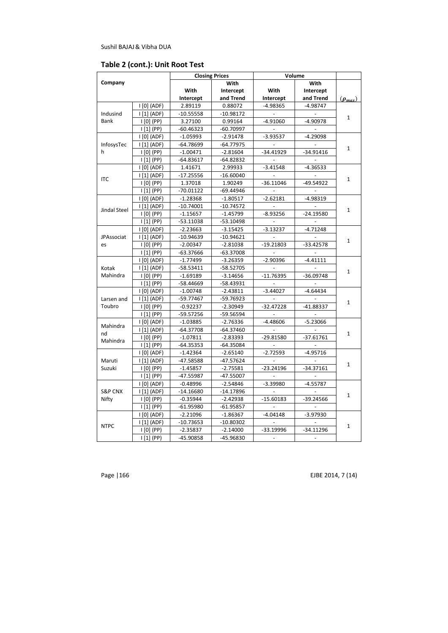## **Table 2 (cont.): Unit Root Test**

|                    |                      |             | <b>Closing Prices</b> |             | Volume      |                |
|--------------------|----------------------|-------------|-----------------------|-------------|-------------|----------------|
| Company            |                      |             | With                  |             | With        |                |
|                    |                      | With        | Intercept             | With        | Intercept   |                |
|                    |                      | Intercept   | and Trend             | Intercept   | and Trend   | $(\rho_{max})$ |
|                    | $ 0 $ (ADF)          | 2.89119     | 0.88072               | $-4.98365$  | $-4.98747$  |                |
| Indusind           | $\vert$ [1] (ADF)    | $-10.55558$ | $-10.98172$           |             |             |                |
| <b>Bank</b>        | $ 0 $ (PP)           | 3.27100     | 0.99164               | $-4.91060$  | $-4.90978$  | $\mathbf 1$    |
|                    | $\mathsf{I}[1]$ (PP) | $-60.46323$ | $-60.70997$           |             |             |                |
|                    | $ 0 $ (ADF)          | $-1.05993$  | $-2.91478$            | $-3.93537$  | $-4.29098$  |                |
| InfosysTec         | 111(ADF)             | $-64.78699$ | $-64.77975$           |             |             |                |
| h                  | $ 0 $ (PP)           | $-1.00471$  | $-2.81604$            | $-34.41929$ | $-34.91416$ | 1              |
|                    | $ 11 $ (PP)          | $-64.83617$ | $-64.82832$           | $\sim$      |             |                |
|                    |                      | 1.41671     | 2.99933               | $-3.41548$  | $-4.36533$  |                |
|                    | $\vert$ [1] (ADF)    | $-17.25556$ | $-16.60040$           |             |             |                |
| <b>ITC</b>         | $ 0 $ (PP)           | 1.37018     | 1.90249               | $-36.11046$ | -49.54922   | $\mathbf{1}$   |
|                    | $ 11 $ (PP)          | $-70.01122$ | $-69.44946$           |             |             |                |
|                    | $ 0 $ (ADF)          | $-1.28368$  | $-1.80517$            | $-2.62181$  | $-4.98319$  |                |
|                    | 111(ADF)             | $-10.74001$ | $-10.74572$           |             |             |                |
| Jindal Steel       | $ 0 $ (PP)           | $-1.15657$  | $-1.45799$            | $-8.93256$  | $-24.19580$ | $\mathbf{1}$   |
|                    | $ 11 $ (PP)          | $-53.11038$ | $-53.10498$           |             |             |                |
|                    | $ 0 $ (ADF)          | $-2.23663$  | $-3.15425$            | $-3.13237$  | $-4.71248$  |                |
| JPAssociat         | 111 (ADF)            | $-10.94639$ | $-10.94621$           |             |             |                |
| es                 | $ 0 $ (PP)           | $-2.00347$  | $-2.81038$            | $-19.21803$ | $-33.42578$ | $\mathbf{1}$   |
|                    | $\vert$ [1] (PP)     | $-63.37666$ | $-63.37008$           |             |             |                |
|                    | $ 0 $ (ADF)          | $-1.77499$  | $-3.26359$            | $-2.90396$  | $-4.41111$  |                |
| Kotak              | 111(ADF)             | $-58.53411$ | $-58.52705$           |             |             | $\mathbf{1}$   |
| Mahindra           | $ 0 $ (PP)           | $-1.69189$  | $-3.14656$            | $-11.76395$ | $-36.09748$ |                |
|                    | 111(PP)              | -58.44669   | $-58.43931$           |             |             |                |
|                    | $ 0 $ (ADF)          | $-1.00748$  | $-2.43811$            | $-3.44027$  | $-4.64434$  |                |
| Larsen and         | 111(ADF)             | -59.77467   | -59.76923             |             |             | $\mathbf{1}$   |
| Toubro             | $ 0 $ (PP)           | $-0.92237$  | $-2.30949$            | $-32.47228$ | -41.88337   |                |
|                    | $\mathsf{I}[1]$ (PP) | -59.57256   | -59.56594             |             |             |                |
|                    | $ 0 $ (ADF)          | $-1.03885$  | $-2.76336$            | $-4.48606$  | $-5.23066$  |                |
| Mahindra           | 111(ADF)             | $-64.37708$ | $-64.37460$           |             |             |                |
| nd<br>Mahindra     | $ 0 $ (PP)           | $-1.07811$  | $-2.83393$            | $-29.81580$ | $-37.61761$ | $\mathbf{1}$   |
|                    | 111(PP)              | $-64.35353$ | $-64.35084$           |             |             |                |
|                    | $ 0 $ (ADF)          | $-1.42364$  | $-2.65140$            | $-2.72593$  | $-4.95716$  |                |
| Maruti             | 111(ADF)             | -47.58588   | $-47.57624$           |             |             | $\mathbf{1}$   |
| Suzuki             | $ 0 $ (PP)           | $-1.45857$  | $-2.75581$            | $-23.24196$ | $-34.37161$ |                |
|                    | $ 11 $ (PP)          | $-47.55987$ | $-47.55007$           |             |             |                |
|                    | $ 0 $ (ADF)          | $-0.48996$  | $-2.54846$            | $-3.39980$  | $-4.55787$  |                |
| <b>S&amp;P CNX</b> | 111 (ADF)            | $-14.16680$ | $-14.17896$           |             |             | $\mathbf{1}$   |
| Nifty              | $ 0 $ (PP)           | $-0.35944$  | $-2.42938$            | $-15.60183$ | $-39.24566$ |                |
|                    | $\mathsf{I}[1]$ (PP) | $-61.95980$ | $-61.95857$           |             |             |                |
|                    | $ 0 $ (ADF)          | $-2.21096$  | $-1.86367$            | $-4.04148$  | $-3.97930$  |                |
| <b>NTPC</b>        | $ 111$ (ADF)         | $-10.73653$ | $-10.80302$           |             |             |                |
|                    | $ 0 $ (PP)           | $-2.35837$  | $-2.14000$            | $-33.19996$ | $-34.11296$ | 1              |
|                    | $\mathsf{I}[1]$ (PP) | -45.90858   | -45.96830             |             |             |                |

Page | 166 EJBE 2014, 7 (14)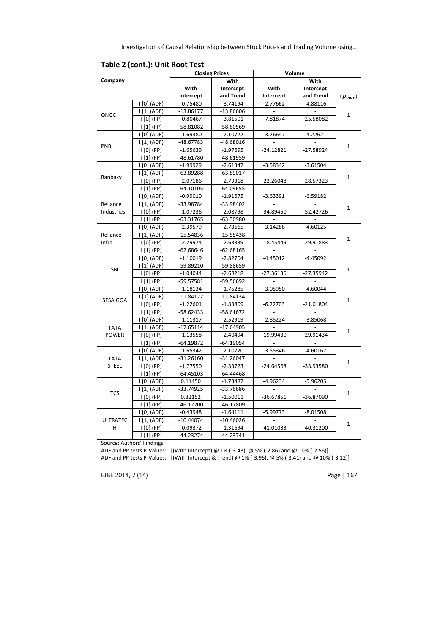|                       |                           |             | <b>Closing Prices</b> | Volume                   |             |                |
|-----------------------|---------------------------|-------------|-----------------------|--------------------------|-------------|----------------|
| Company               |                           |             | With                  |                          | With        |                |
|                       |                           | With        | Intercept             | With                     | Intercept   |                |
|                       |                           | Intercept   | and Trend             | Intercept                | and Trend   | $(\rho_{max})$ |
|                       | $ 0 $ (ADF)               | $-0.75480$  | $-3.74194$            | $-2.77662$               | $-4.88116$  |                |
|                       | 111 (ADF)                 | $-13.86177$ | $-13.86606$           |                          |             |                |
| <b>ONGC</b>           | $ 0 $ (PP)                | $-0.80467$  | $-3.81501$            | $-7.81874$               | $-25.58082$ | $\mathbf{1}$   |
|                       | $ 11 $ (PP)               | $-58.81082$ | -58.80569             |                          |             |                |
|                       | $ 0 $ (ADF)               | $-1.69380$  | $-2.10722$            | $-3.76647$               | $-4.22621$  |                |
|                       | $ 111$ (ADF)              | -48.67783   | $-48.68016$           |                          |             |                |
| PNB                   | $ 0 $ (PP)                | $-1.65639$  | $-1.97695$            | $-24.12821$              | $-27.58924$ | $\mathbf{1}$   |
|                       | $ 11 $ (PP)               | $-48.61780$ | $-48.61959$           |                          |             |                |
|                       | $ 0 $ (ADF)               | $-1.99929$  | $-2.61347$            | $-3.58342$               | $-3.61504$  |                |
|                       | 111 (ADF)                 | $-63.89288$ | $-63.89017$           |                          |             |                |
| Ranbaxy<br>$ 0 $ (PP) |                           | $-2.07186$  | $-2.79318$            | $-22.26048$              | $-28.57323$ | $\mathbf{1}$   |
|                       | $\vert$ [1] (PP)          | $-64.10105$ | $-64.09655$           |                          |             |                |
|                       | $ 0 $ (ADF)               | $-0.99010$  | $-1.91675$            | $-3.63391$               | $-6.59182$  |                |
| Reliance              | 111(ADF)                  | -33.98784   | -33.98402             | $\overline{\phantom{a}}$ |             |                |
| Industries            | $ 0 $ (PP)                | $-1.07236$  | $-2.08798$            | $-34.89450$              | $-52.42726$ | $\mathbf{1}$   |
|                       | $ 11 $ (PP)               | $-63.31765$ | -63.30980             |                          |             |                |
|                       | $ 0 $ (ADF)               | $-2.39579$  | $-2.73665$            | $-3.14288$               | $-4.60125$  |                |
| Reliance              | 111 (ADF)                 | $-15.54836$ | $-15.55438$           |                          |             |                |
| Infra                 | $ 0 $ (PP)                | $-2.29974$  | $-2.63339$            | $-18.45449$              | $-29.91883$ | $\mathbf{1}$   |
|                       | $\vert$ [1] (PP)          | $-62.68646$ | $-62.68165$           |                          |             |                |
|                       | $ 0 $ (ADF)               | $-1.10019$  | $-2.82704$            | $-4.45012$               | $-4.45092$  |                |
|                       | $\vert$ [1] (ADF)         | -59.89210   | -59.88659             |                          |             |                |
| <b>SBI</b>            | $ 0 $ (PP)                | $-1.04044$  | $-2.68218$            | $-27.36136$              | $-27.35942$ | $\mathbf{1}$   |
|                       | $ 11 $ (PP)               | -59.57581   | -59.56692             |                          |             |                |
|                       | $ 0 $ (ADF)               | $-1.18134$  | $-1.75285$            | $-3.05950$               | $-4.60044$  |                |
|                       | 111 (ADF)                 | $-11.84122$ | $-11.84134$           |                          |             |                |
| <b>SESA GOA</b>       | $ 0 $ (PP)                | $-1.22601$  | $-1.83809$            | $-6.22703$               | $-21.01804$ | $\mathbf{1}$   |
|                       | 111(PP)                   | -58.62433   | -58.61672             |                          |             |                |
|                       | $ 0 $ (ADF)               | $-1.11317$  | $-2.52919$            | $-2.85224$               | $-3.85068$  |                |
| <b>TATA</b>           | 111(ADF)                  | $-17.65114$ | $-17.64905$           |                          |             |                |
| <b>POWER</b>          | $\vert$ $[0]$ (PP)        | $-1.13558$  | $-2.40494$            | $-19.99430$              | $-29.91434$ | $\mathbf{1}$   |
|                       | 111(PP)                   | $-64.19872$ | $-64.19054$           |                          |             |                |
|                       | $I[0]$ (ADF)              | $-1.65342$  | $-2.10720$            | $-3.55346$               | $-4.60167$  |                |
| <b>TATA</b>           | $\lfloor 1 \rfloor$ (ADF) | $-31.26160$ | $-31.26047$           |                          |             |                |
| <b>STEEL</b>          | $\vert$ [0] (PP)          | $-1.77550$  | $-2.33723$            | $-24.64568$              | -33.93580   | $\mathbf{1}$   |
|                       | $\vert$ [1] (PP)          | $-64.45103$ | $-64.44468$           |                          |             |                |
|                       | $ 0 $ (ADF)               | 0.11450     | $-1.73487$            | $-4.96234$               | $-5.96205$  |                |
|                       | $\lfloor 1 \rfloor$ (ADF) | $-33.74925$ | -33.76686             |                          |             |                |
| <b>TCS</b>            | $\vert$ $[0]$ (PP)        | 0.32152     | $-1.50011$            | $-36.67851$              | -36.87090   | $\mathbf{1}$   |
|                       | $\vert$ [1] (PP)          | $-46.12200$ | $-46.17809$           |                          |             |                |
|                       | $ 0 $ (ADF)               | $-0.43948$  | $-1.64111$            | $-5.99773$               | $-8.01508$  |                |
| <b>ULTRATEC</b>       | 111 (ADF)                 | $-10.44074$ | $-10.46026$           |                          |             |                |
| н                     | $ 0 $ (PP)                | $-0.09372$  | $-1.31694$            | $-41.01033$              | $-40.31200$ | $\mathbf{1}$   |
|                       | $\vert$ [1] (PP)          | $-44.23274$ | $-44.23741$           |                          |             |                |

Source: Authors' Findings

ADF and PP tests P-Values: - [(With Intercept) @ 1% (-3.43), @ 5% (-2.86) and @ 10% (-2.56)]

ADF and PP tests P-Values: - [(With Intercept & Trend) @ 1% (-3.96), @ 5% (-3.41) and @ 10% (-3.12)]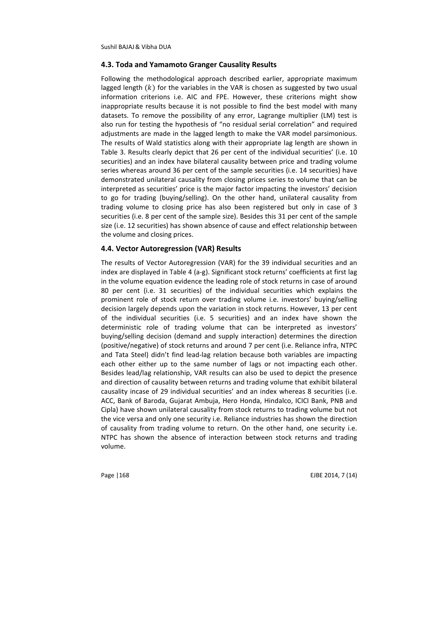#### **4.3. Toda and Yamamoto Granger Causality Results**

Following the methodological approach described earlier, appropriate maximum lagged length  $(k)$  for the variables in the VAR is chosen as suggested by two usual information criterions i.e. AIC and FPE. However, these criterions might show inappropriate results because it is not possible to find the best model with many datasets. To remove the possibility of any error, Lagrange multiplier (LM) test is also run for testing the hypothesis of "no residual serial correlation" and required adjustments are made in the lagged length to make the VAR model parsimonious. The results of Wald statistics along with their appropriate lag length are shown in Table 3. Results clearly depict that 26 per cent of the individual securities' (i.e. 10 securities) and an index have bilateral causality between price and trading volume series whereas around 36 per cent of the sample securities (i.e. 14 securities) have demonstrated unilateral causality from closing prices series to volume that can be interpreted as securities' price is the major factor impacting the investors' decision to go for trading (buying/selling). On the other hand, unilateral causality from trading volume to closing price has also been registered but only in case of 3 securities (i.e. 8 per cent of the sample size). Besides this 31 per cent of the sample size (i.e. 12 securities) has shown absence of cause and effect relationship between the volume and closing prices.

#### **4.4. Vector Autoregression (VAR) Results**

The results of Vector Autoregression (VAR) for the 39 individual securities and an index are displayed in Table 4 (a-g). Significant stock returns' coefficients at first lag in the volume equation evidence the leading role of stock returns in case of around 80 per cent (i.e. 31 securities) of the individual securities which explains the prominent role of stock return over trading volume i.e. investors' buying/selling decision largely depends upon the variation in stock returns. However, 13 per cent of the individual securities (i.e. 5 securities) and an index have shown the deterministic role of trading volume that can be interpreted as investors' buying/selling decision (demand and supply interaction) determines the direction (positive/negative) of stock returns and around 7 per cent (i.e. Reliance infra, NTPC and Tata Steel) didn't find lead-lag relation because both variables are impacting each other either up to the same number of lags or not impacting each other. Besides lead/lag relationship, VAR results can also be used to depict the presence and direction of causality between returns and trading volume that exhibit bilateral causality incase of 29 individual securities' and an index whereas 8 securities (i.e. ACC, Bank of Baroda, Gujarat Ambuja, Hero Honda, Hindalco, ICICI Bank, PNB and Cipla) have shown unilateral causality from stock returns to trading volume but not the vice versa and only one security i.e. Reliance industries has shown the direction of causality from trading volume to return. On the other hand, one security i.e. NTPC has shown the absence of interaction between stock returns and trading volume.

Page 1168 **EJBE 2014. 7** (14)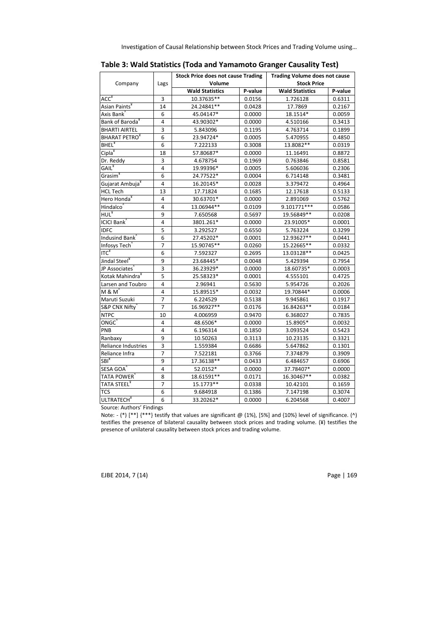Investigation of Causal Relationship between Stock Prices and Trading Volume using…

| Company                      | Lags           | <b>Stock Price does not cause Trading</b><br>Volume |         | <b>Trading Volume does not cause</b><br><b>Stock Price</b> |         |
|------------------------------|----------------|-----------------------------------------------------|---------|------------------------------------------------------------|---------|
|                              |                | <b>Wald Statistics</b>                              | P-value | <b>Wald Statistics</b>                                     | P-value |
| ACC <sup>x</sup>             | 3              | $10.37635**$                                        | 0.0156  | 1.726128                                                   | 0.6311  |
| Asian Paints <sup>*</sup>    | 14             | 24.24841**                                          | 0.0428  | 17.7869                                                    | 0.2167  |
| Axis Bank                    | 6              | 45.04147*                                           | 0.0000  | 18.1514*                                                   | 0.0059  |
| Bank of Baroda <sup>¥</sup>  | 4              | 43.90302*                                           | 0.0000  | 4.510166                                                   | 0.3413  |
| <b>BHARTI AIRTEL</b>         | 3              | 5.843096                                            | 0.1195  | 4.763714                                                   | 0.1899  |
| <b>BHARAT PETRO</b>          | 6              | 23.94724*                                           | 0.0005  | 5.470955                                                   | 0.4850  |
| <b>BHEL</b> <sup>¥</sup>     | 6              | 7.222133                                            | 0.3008  | 13.8082**                                                  | 0.0319  |
| Cipla <sup>¥</sup>           | 18             | 57.80687*                                           | 0.0000  | 11.16491                                                   | 0.8872  |
| Dr. Reddy                    | 3              | 4.678754                                            | 0.1969  | 0.763846                                                   | 0.8581  |
| $GAIL^*$                     | $\overline{4}$ | 19.99396*                                           | 0.0005  | 5.606036                                                   | 0.2306  |
| Grasim <sup>¥</sup>          | 6              | 24.77522*                                           | 0.0004  | 6.714148                                                   | 0.3481  |
| Gujarat Ambuja <sup>¥</sup>  | 4              | 16.20145*                                           | 0.0028  | 3.379472                                                   | 0.4964  |
| <b>HCL Tech</b>              | 13             | 17.71824                                            | 0.1685  | 12.17618                                                   | 0.5133  |
| Hero Honda <sup>¥</sup>      | 4              | 30.63701*                                           | 0.0000  | 2.891069                                                   | 0.5762  |
| Hindalco <sup>®</sup>        | 4              | 13.06944**                                          | 0.0109  | 9.101771 ***                                               | 0.0586  |
| $HUL*$                       | 9              | 7.650568                                            | 0.5697  | 19.56849**                                                 | 0.0208  |
| ICICI Bank <sup>^</sup>      | 4              | 3801.261*                                           | 0.0000  | 23.91005*                                                  | 0.0001  |
| <b>IDFC</b>                  | 5              | 3.292527                                            | 0.6550  | 5.763224                                                   | 0.3299  |
| Indusind Bank <sup>1</sup>   | 6              | 27.45202*                                           | 0.0001  | 12.93627**                                                 | 0.0441  |
| Infosys Tech                 | 7              | 15.90745**                                          | 0.0260  | 15.22665**                                                 | 0.0332  |
| $ITC*$                       | 6              | 7.592327                                            | 0.2695  | 13.03128**                                                 | 0.0425  |
| Jindal Steel <sup>¥</sup>    | 9              | 23.68445*                                           | 0.0048  | 5.429394                                                   | 0.7954  |
| JP Associates                | 3              | 36.23929*                                           | 0.0000  | 18.60735*                                                  | 0.0003  |
| Kotak Mahindra <sup>*</sup>  | 5              | 25.58323*                                           | 0.0001  | 4.555101                                                   | 0.4725  |
| Larsen and Toubro            | 4              | 2.96941                                             | 0.5630  | 5.954726                                                   | 0.2026  |
| M & M ̂                      | 4              | 15.89515*                                           | 0.0032  | 19.70844*                                                  | 0.0006  |
| Maruti Suzuki                | 7              | 6.224529                                            | 0.5138  | 9.945861                                                   | 0.1917  |
| S&P CNX Nifty                | $\overline{7}$ | 16.96927**                                          | 0.0176  | 16.84263**                                                 | 0.0184  |
| <b>NTPC</b>                  | 10             | 4.006959                                            | 0.9470  | 6.368027                                                   | 0.7835  |
| ONGC ๊                       | 4              | 48.6506*                                            | 0.0000  | 15.8905*                                                   | 0.0032  |
| PNB                          | 4              | 6.196314                                            | 0.1850  | 3.093524                                                   | 0.5423  |
| Ranbaxy                      | 9              | 10.50263                                            | 0.3113  | 10.23135                                                   | 0.3321  |
| Reliance Industries          | 3              | 1.559384                                            | 0.6686  | 5.647862                                                   | 0.1301  |
| Reliance Infra               | $\overline{7}$ | 7.522181                                            | 0.3766  | 7.374879                                                   | 0.3909  |
| SBI <sup>*</sup>             | 9              | 17.36138**                                          | 0.0433  | 6.484657                                                   | 0.6906  |
| SESA GOA <sup>"</sup>        | 4              | 52.0152*                                            | 0.0000  | 37.78407*                                                  | 0.0000  |
| TATA POWER <sup>®</sup>      | 8              | 18.61591**                                          | 0.0171  | 16.30467**                                                 | 0.0382  |
| TATA STEEL¥                  | $\overline{7}$ | 15.1773**                                           | 0.0338  | 10.42101                                                   | 0.1659  |
| TCS                          | 6              | 9.684918                                            | 0.1386  | 7.147198                                                   | 0.3074  |
| <b>ULTRATECH<sup>¥</sup></b> | 6              | 33.20262*                                           | 0.0000  | 6.204568                                                   | 0.4007  |

| Table 3: Wald Statistics (Toda and Yamamoto Granger Causality Test) |  |  |  |
|---------------------------------------------------------------------|--|--|--|
|---------------------------------------------------------------------|--|--|--|

Source: Authors' Findings

Note: - (\*) [\*\*] {\*\*\*} testify that values are significant  $\emptyset$  (1%), [5%] and {10%} level of significance. (^) testifies the presence of bilateral causality between stock prices and trading volume. (¥) testifies the presence of unilateral causality between stock prices and trading volume.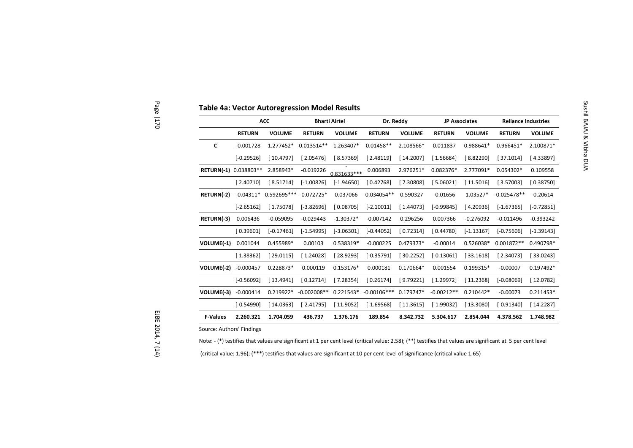|                 |                           | <b>ACC</b>    |               | <b>Bharti Airtel</b> | Dr. Reddy     |               |               | <b>JP Associates</b> | <b>Reliance Industries</b> |
|-----------------|---------------------------|---------------|---------------|----------------------|---------------|---------------|---------------|----------------------|----------------------------|
|                 | <b>RETURN</b>             | <b>VOLUME</b> | <b>RETURN</b> | <b>VOLUME</b>        | <b>RETURN</b> | <b>VOLUME</b> | <b>RETURN</b> | <b>VOLUME</b>        | <b>RETURN</b>              |
| C               | $-0.001728$               | 1.277452*     | $0.013514**$  | 1.263407*            | $0.01458**$   | 2.108566*     | 0.011837      | 0.988641*            | 0.966451*                  |
|                 | $[-0.29526]$              | [10.4797]     | [2.05476]     | [8.57369]            | [2.48119]     | [14.2007]     | [1.56684]     | [8.82290]            | [37.1014]                  |
|                 | RETURN(-1) 0.038803**     | 2.858943*     | $-0.019226$   | $0.831633***$        | 0.006893      | 2.976251*     | 0.082376*     | 2.777091*            | 0.054302*                  |
|                 | [2.40710]                 | [8.51714]     | $[-1.00826]$  | $[-1.94650]$         | [0.42768]     | [7.30808]     | [5.06021]     | [11.5016]            | [3.57003]                  |
| RETURN(-2)      | $-0.04311*$               | 0.592695***   | $-0.072725*$  | 0.037066             | $-0.034054**$ | 0.590327      | $-0.01656$    | 1.03527*             | $-0.025478**$              |
|                 | $[-2.65162]$              | [1.75078]     | $[-3.82696]$  | [0.08705]            | $[-2.10011]$  | [1.44073]     | $[-0.99845]$  | [4.20936]            | $[-1.67365]$               |
| RETURN(-3)      | 0.006436                  | $-0.059095$   | $-0.029443$   | $-1.30372*$          | $-0.007142$   | 0.296256      | 0.007366      | $-0.276092$          | $-0.011496$                |
|                 | [0.39601]                 | $[-0.17461]$  | $[-1.54995]$  | $[-3.06301]$         | $[-0.44052]$  | [0.72314]     | [0.44780]     | $[-1.13167]$         | $[-0.75606]$               |
| VOLUME(-1)      | 0.001044                  | 0.455989*     | 0.00103       | 0.538319*            | $-0.000225$   | 0.479373*     | $-0.00014$    | 0.526038*            | 0.001872**                 |
|                 | [1.38362]                 | [29.0115]     | [1.24028]     | [28.9293]            | $[-0.35791]$  | [30.2252]     | $[-0.13061]$  | [33.1618]            | [2.34073]                  |
| VOLUME(-2)      | $-0.000457$               | 0.228873*     | 0.000119      | 0.153176*            | 0.000181      | 0.170664*     | 0.001554      | 0.199315*            | $-0.00007$                 |
|                 | $[-0.56092]$              | [13.4941]     | [0.12714]     | [7.28354]            | [0.26174]     | [9.79221]     | [1.29972]     | [11.2368]            | $[-0.08069]$               |
| VOLUME(-3)      | $-0.000414$               | 0.219922*     | $-0.002008**$ | $0.221543*$          | $-0.00106***$ | $0.179747*$   | $-0.00212**$  | $0.210442*$          | $-0.00073$                 |
|                 | $[-0.54990]$              | [14.0363]     | $[-2.41795]$  | [11.9052]            | $[-1.69568]$  | [11.3615]     | $[-1.99032]$  | [13.3080]            | $[-0.91340]$               |
| <b>F-Values</b> | 2.260.321                 | 1.704.059     | 436.737       | 1.376.176            | 189.854       | 8.342.732     | 5.304.617     | 2.854.044            | 4.378.562                  |
|                 | Source: Authors' Findings |               |               |                      |               |               |               |                      |                            |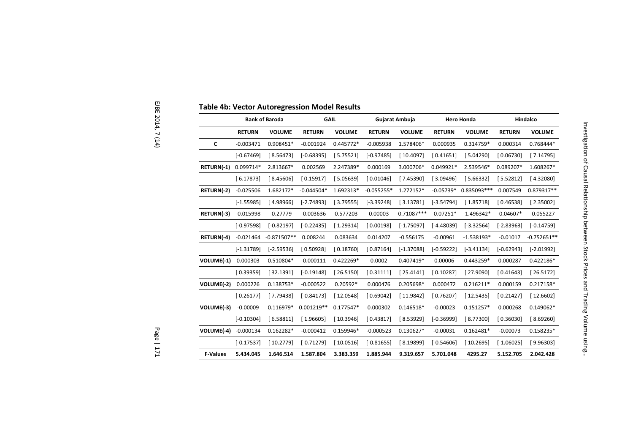|                   |               | <b>Bank of Baroda</b> | <b>GAIL</b>   |               |               | Gujarat Ambuja |               | <b>Hero Honda</b> |               | Hindalco      |  |
|-------------------|---------------|-----------------------|---------------|---------------|---------------|----------------|---------------|-------------------|---------------|---------------|--|
|                   | <b>RETURN</b> | <b>VOLUME</b>         | <b>RETURN</b> | <b>VOLUME</b> | <b>RETURN</b> | <b>VOLUME</b>  | <b>RETURN</b> | <b>VOLUME</b>     | <b>RETURN</b> | <b>VOLUME</b> |  |
| C                 | $-0.003471$   | 0.908451*             | $-0.001924$   | 0.445772*     | $-0.005938$   | 1.578406*      | 0.000935      | $0.314759*$       | 0.000314      | 0.768444*     |  |
|                   | $[-0.67469]$  | [8.56473]             | $[-0.68395]$  | [5.75521]     | $[-0.97485]$  | [10.4097]      | [0.41651]     | [5.04290]         | [0.06730]     | [7.14795]     |  |
| <b>RETURN(-1)</b> | 0.099714*     | 2.813667*             | 0.002569      | 2.247389*     | 0.000169      | 3.000706*      | 0.049921*     | 2.539546*         | 0.089207*     | 1.608267*     |  |
|                   | [6.17873]     | [8.45606]             | [0.15917]     | [5.05639]     | [0.01046]     | [7.45390]      | [3.09496]     | [5.66332]         | [5.52812]     | [4.32080]     |  |
| RETURN(-2)        | $-0.025506$   | 1.682172*             | $-0.044504*$  | 1.692313*     | $-0.055255*$  | 1.272152*      | $-0.05739*$   | 0.835093***       | 0.007549      | 0.879317**    |  |
|                   | $[-1.55985]$  | [4.98966]             | $[-2.74893]$  | [3.79555]     | $[-3.39248]$  | [3.13781]      | $[-3.54794]$  | [1.85718]         | [0.46538]     | [2.35002]     |  |
| RETURN(-3)        | $-0.015998$   | $-0.27779$            | $-0.003636$   | 0.577203      | 0.00003       | $-0.71087***$  | $-0.07251*$   | $-1.496342*$      | $-0.04607*$   | $-0.055227$   |  |
|                   | $[-0.97598]$  | $[-0.82197]$          | $[-0.22435]$  | [1.29314]     | [0.00198]     | $[-1.75097]$   | $[-4.48039]$  | $[-3.32564]$      | $[-2.83963]$  | $[-0.14759]$  |  |
| RETURN(-4)        | $-0.021464$   | $-0.871507**$         | 0.008244      | 0.083634      | 0.014207      | $-0.556175$    | $-0.00961$    | $-1.538193*$      | $-0.01017$    | $-0.752651**$ |  |
|                   | $[-1.31789]$  | $[-2.59536]$          | [0.50928]     | [0.18760]     | [0.87164]     | $[-1.37088]$   | $[-0.59222]$  | $[-3.41134]$      | $[-0.62943]$  | $[-2.01992]$  |  |
| VOLUME(-1)        | 0.000303      | 0.510804*             | $-0.000111$   | $0.422269*$   | 0.0002        | 0.407419*      | 0.00006       | 0.443259*         | 0.000287      | $0.422186*$   |  |
|                   | [0.39359]     | [32.1391]             | $[-0.19148]$  | [26.5150]     | [0.31111]     | [25.4141]      | [0.10287]     | [27.9090]         | [0.41643]     | [26.5172]     |  |
| VOLUME(-2)        | 0.000226      | 0.138753*             | $-0.000522$   | $0.20592*$    | 0.000476      | 0.205698*      | 0.000472      | $0.216211*$       | 0.000159      | $0.217158*$   |  |
|                   | [0.26177]     | [7.79438]             | $[-0.84173]$  | [12.0548]     | [0.69042]     | [11.9842]      | [0.76207]     | [12.5435]         | [0.21427]     | [12.6602]     |  |
| VOLUME(-3)        | $-0.00009$    | $0.116979*$           | $0.001219**$  | $0.177547*$   | 0.000302      | 0.146518*      | $-0.00023$    | $0.151257*$       | 0.000268      | 0.149062*     |  |
|                   | $[-0.10304]$  | [6.58811]             | [1.96605]     | [10.3946]     | [0.43817]     | [8.53929]      | $[-0.36999]$  | [8.77300]         | [0.36030]     | [8.69260]     |  |
| VOLUME(-4)        | $-0.000134$   | $0.162282*$           | $-0.000412$   | 0.159946*     | $-0.000523$   | $0.130627*$    | $-0.00031$    | $0.162481*$       | $-0.00073$    | 0.158235*     |  |
|                   | $[-0.17537]$  | [10.2779]             | $[-0.71279]$  | [10.0516]     | $[-0.81655]$  | [8.19899]      | $[-0.54606]$  | [10.2695]         | $[-1.06025]$  | [9.96303]     |  |
| <b>F-Values</b>   | 5.434.045     | 1.646.514             | 1.587.804     | 3.383.359     | 1.885.944     | 9.319.657      | 5.701.048     | 4295.27           | 5.152.705     | 2.042.428     |  |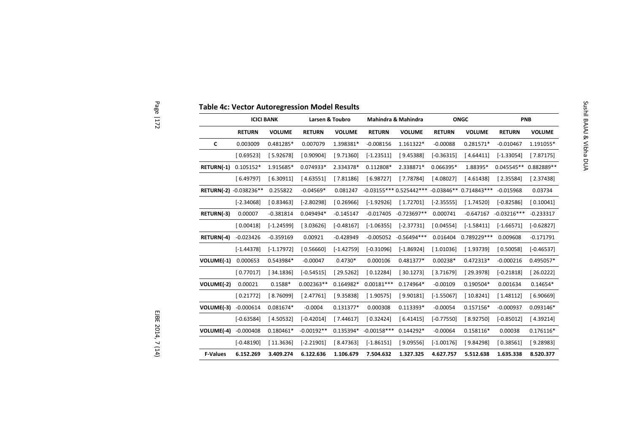|                        | <b>ICICI BANK</b> |               |               | Larsen & Toubro |               | Mahindra & Mahindra                           |               | <b>ONGC</b>   |               | PNB           |
|------------------------|-------------------|---------------|---------------|-----------------|---------------|-----------------------------------------------|---------------|---------------|---------------|---------------|
|                        | <b>RETURN</b>     | <b>VOLUME</b> | <b>RETURN</b> | <b>VOLUME</b>   | <b>RETURN</b> | <b>VOLUME</b>                                 | <b>RETURN</b> | <b>VOLUME</b> | <b>RETURN</b> | <b>VOLUME</b> |
| C                      | 0.003009          | 0.481285*     | 0.007079      | 1.398381*       | $-0.008156$   | 1.161322*                                     | $-0.00088$    | 0.281571*     | $-0.010467$   | 1.191055*     |
|                        | [0.69523]         | [5.92678]     | [0.90904]     | [9.71360]       | $[-1.23511]$  | [9.45388]                                     | $[-0.36315]$  | [4.64411]     | $[-1.33054]$  | [7.87175]     |
| RETURN(-1)             | $0.105152*$       | 1.915685*     | 0.074933*     | 2.334378*       | 0.112808*     | 2.338871*                                     | 0.066395*     | 1.88395*      | $0.045545**$  | 0.882889**    |
|                        | [6.49797]         | [6.30911]     | [4.63551]     | [7.81186]       | [6.98727]     | [7.78784]                                     | [4.08027]     | [4.61438]     | [2.35584]     | [2.37438]     |
| RETURN(-2) -0.038236** |                   | 0.255822      | $-0.04569*$   | 0.081247        |               | $-0.03155***0.525442***-0.03846**0.714843***$ |               |               | $-0.015968$   | 0.03734       |
|                        | $[-2.34068]$      | [0.83463]     | $[-2.80298]$  | [0.26966]       | $[-1.92926]$  | [1.72701]                                     | $[-2.35555]$  | [1.74520]     | $[-0.82586]$  | [0.10041]     |
| RETURN(-3)             | 0.00007           | $-0.381814$   | 0.049494*     | $-0.145147$     | $-0.017405$   | $-0.723697**$                                 | 0.000741      | $-0.647167$   | $-0.03216***$ | $-0.233317$   |
|                        | [0.00418]         | $[-1.24599]$  | [3.03626]     | $[-0.48167]$    | $[-1.06355]$  | $[-2.37731]$                                  | [0.04554]     | $[-1.58411]$  | $[-1.66571]$  | $[-0.62827]$  |
| RETURN(-4)             | $-0.023426$       | $-0.359169$   | 0.00921       | $-0.428949$     | $-0.005052$   | $-0.56494***$                                 | 0.016404      | 0.789229***   | 0.009608      | $-0.171791$   |
|                        | $[-1.44378]$      | $[-1.17972]$  | [0.56660]     | $[-1.42759]$    | $[-0.31096]$  | $[-1.86924]$                                  | [1.01036]     | [1.93739]     | [0.50058]     | $[-0.46537]$  |
| VOLUME(-1)             | 0.000653          | 0.543984*     | $-0.00047$    | $0.4730*$       | 0.000106      | 0.481377*                                     | $0.00238*$    | $0.472313*$   | $-0.000216$   | 0.495057*     |
|                        | [0.77017]         | [34.1836]     | $[-0.54515]$  | [29.5262]       | [0.12284]     | [30.1273]                                     | [3.71679]     | [29.3978]     | $[-0.21818]$  | [26.0222]     |
| VOLUME(-2)             | 0.00021           | $0.1588*$     | $0.002363**$  | 0.164982*       | $0.00181***$  | 0.174964*                                     | $-0.00109$    | 0.190504*     | 0.001634      | $0.14654*$    |
|                        | [0.21772]         | [8.76099]     | [2.47761]     | [9.35838]       | [1.90575]     | [9.90181]                                     | $[-1.55067]$  | [10.8241]     | [1.48112]     | [6.90669]     |
| VOLUME(-3)             | $-0.000614$       | 0.081674*     | $-0.0004$     | $0.131377*$     | 0.000308      | 0.113393*                                     | $-0.00054$    | 0.157156*     | $-0.000937$   | 0.093146*     |
|                        | $[-0.63584]$      | [4.50532]     | $[-0.42014]$  | [7.44617]       | [0.32424]     | [6.41415]                                     | $[-0.77550]$  | [8.92750]     | $[-0.85012]$  | [4.39214]     |
| VOLUME(-4)             | $-0.000408$       | $0.180461*$   | $-0.00192**$  | 0.135394*       | $-0.00158***$ | $0.144292*$                                   | $-0.00064$    | $0.158116*$   | 0.00038       | $0.176116*$   |
|                        | $[-0.48190]$      | [11.3636]     | $[-2.21901]$  | [8.47363]       | $[-1.86151]$  | [9.09556]                                     | $[-1.00176]$  | [9.84298]     | [0.38561]     | [9.28983]     |
| <b>F-Values</b>        | 6.152.269         | 3.409.274     | 6.122.636     | 1.106.679       | 7.504.632     | 1.327.325                                     | 4.627.757     | 5.512.638     | 1.635.338     | 8.520.377     |

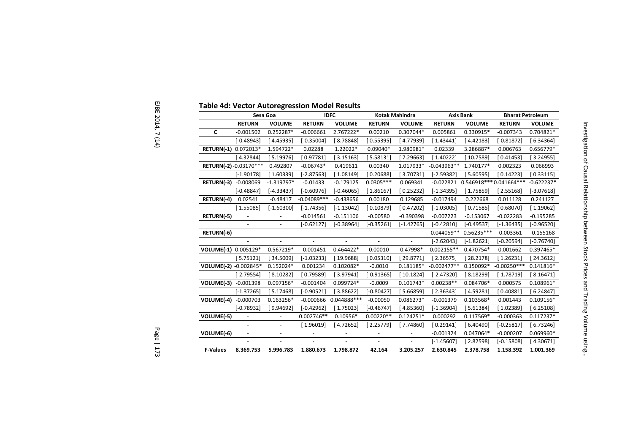|                       | Sesa Goa                 |                          | <b>IDFC</b>              |                | <b>Kotak Mahindra</b> |                | <b>Axis Bank</b> |                           | <b>Bharat Petroleum</b> |  |
|-----------------------|--------------------------|--------------------------|--------------------------|----------------|-----------------------|----------------|------------------|---------------------------|-------------------------|--|
|                       | <b>RETURN</b>            | <b>VOLUME</b>            | <b>RETURN</b>            | <b>VOLUME</b>  | <b>RETURN</b>         | <b>VOLUME</b>  | <b>RETURN</b>    | <b>VOLUME</b>             | <b>RETURN</b>           |  |
| C                     | $-0.001502$              | 0.252287*                | $-0.006661$              | 2.767222*      | 0.00210               | 0.307044*      | 0.005861         | 0.330915*                 | $-0.007343$             |  |
|                       | $[-0.48943]$             | [4.45935]                | $[-0.35004]$             | [8.78848]      | [0.55395]             | [4.77939]      | [1.43441]        | [4.42183]                 | $[-0.81872]$            |  |
| RETURN(-1) 0.072013*  |                          | 1.594722*                | 0.02288                  | 1.22022*       | $0.09040*$            | 1.980981*      | 0.02339          | 3.286887*                 | 0.006763                |  |
|                       | [4.32844]                | [5.19976]                | [0.97781]                | [3.15163]      | [ 5.58131]            | [7.29663]      | 1.40222          | [10.7589]                 | [0.41453]               |  |
| RETURN(-2)-0.03170*** |                          | 0.492807                 | $-0.06743*$              | 0.419611       | 0.00340               | 1.017933*      | $-0.043963**$    | 1.740177*                 | 0.002323                |  |
|                       | $[-1.90178]$             | [1.60339]                | $[-2.87563]$             | [1.08149]      | [0.20688]             | [3.70731]      | $[-2.59382]$     | [5.60595]                 | [0.14223]               |  |
| RETURN(-3)            | $-0.008069$              | $-1.319797*$             | $-0.01433$               | $-0.179125$    | $0.0305***$           | 0.069341       | $-0.022821$      | 0.546918 *** 0.041664 *** |                         |  |
|                       | $[-0.48847]$             | [-4.33437]               | $[-0.60976]$             | $[-0.46065]$   | [1.86167]             | [0.25232]      | $[-1.34395]$     | [1.75859]                 | 2.55168                 |  |
| RETURN(-4)            | 0.02541                  | $-0.48417$               | $-0.04089***$            | $-0.438656$    | 0.00180               | 0.129685       | $-0.017494$      | 0.222668                  | 0.011128                |  |
|                       | [1.55085]                | $[-1.60300]$             | $[-1.74356]$             | $[-1.13042]$   | [0.10879]             | [0.47202]      | $[-1.03005]$     | [0.71585]                 | [0.68070]               |  |
| RETURN(-5)            | $\overline{\phantom{a}}$ | $\blacksquare$           | $-0.014561$              | $-0.151106$    | $-0.00580$            | $-0.390398$    | $-0.007223$      | $-0.153067$               | $-0.022283$             |  |
|                       | $\blacksquare$           | $\blacksquare$           | $[-0.62127]$             | $[-0.38964]$   | $[-0.35261]$          | $[-1.42765]$   | $[-0.42810]$     | $[-0.49537]$              | $[-1.36435]$            |  |
| RETURN(-6)            | $\blacksquare$           | $\blacksquare$           | $\overline{\phantom{a}}$ | $\blacksquare$ | $\blacksquare$        | $\overline{a}$ |                  | $-0.044059** -0.56235***$ | $-0.003361$             |  |
|                       |                          |                          |                          |                |                       |                | $[-2.62043]$     | $[-1.82621]$              | $[-0.20594]$            |  |
| VOLUME(-1) 0.005129*  |                          | 0.567219*                | $-0.001451$              | 0.464422*      | 0.00010               | 0.47998*       | $0.002155**$     | 0.470754*                 | 0.001662                |  |
|                       | [5.75121]                | [34.5009]                | $[-1.03233]$             | [19.9688]      | [0.05310]             | [29.8771]      | [2.36575]        | [28.2178]                 | [1.26231]               |  |
| VOLUME(-2) -0.002845* |                          | 0.152024*                | 0.001234                 | 0.102082*      | $-0.0010$             | 0.181185*      | $-0.002477**$    | 0.150092*                 | $-0.00250***$           |  |
|                       | $[-2.79554]$             | [8.10282]                | [ 0.79589]               | [3.97941]      | $[-0.91365]$          | [10.1824]      | $[-2.47320]$     | [8.18299]                 | $[-1.78719]$            |  |
| VOLUME(-3)            | $-0.001398$              | 0.097156*                | $-0.001404$              | 0.099724*      | $-0.0009$             | $0.101743*$    | $0.00238**$      | 0.084706*                 | 0.000575                |  |
|                       | $[-1.37265]$             | [5.17468]                | $[-0.90521]$             | [3.88622]      | $[-0.80427]$          | [5.66859]      | [2.36343]        | [4.59281]                 | [ 0.40881]              |  |
| VOLUME(-4)            | $-0.000703$              | 0.163256*                | $-0.000666$              | 0.044888***    | $-0.00050$            | 0.086273*      | $-0.001379$      | 0.103568*                 | 0.001443                |  |
|                       | $[-0.78932]$             | [9.94692]                | $[-0.42962]$             | [1.75023]      | $[-0.46747]$          | [4.85360]      | $[-1.36904]$     | [5.61384]                 | [1.02389]               |  |
| VOLUME(-5)            |                          | $\overline{\phantom{a}}$ | $0.002746**$             | $0.10956*$     | $0.00220**$           | $0.124251*$    | 0.000292         | 0.117569*                 | $-0.000363$             |  |
|                       |                          | $\overline{\phantom{a}}$ | [1.96019]                | [4.72652]      | [2.25779]             | [7.74860]      | [0.29141]        | [6.40490]                 | $[-0.25817]$            |  |
| VOLUME(-6)            | $\blacksquare$           | $\overline{\phantom{a}}$ | $\blacksquare$           |                | $\blacksquare$        |                | $-0.001324$      | 0.047064*                 | $-0.000207$             |  |
|                       |                          | $\overline{a}$           |                          |                |                       | $\overline{a}$ | $[-1.45607]$     | [2.82598]                 | $[-0.15808]$            |  |
| <b>F-Values</b>       | 8.369.753                | 5.996.783                | 1.880.673                | 1.798.872      | 42.164                | 3.205.257      | 2.630.845        | 2.378.758                 | 1.158.392               |  |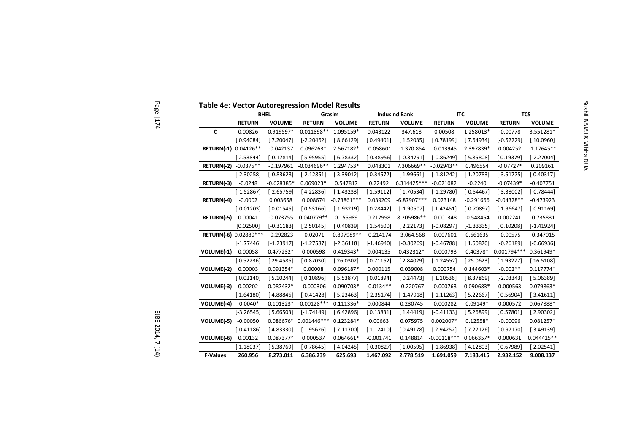|                       | <b>BHEL</b>   |               | Grasim                |               |               | <b>Indusind Bank</b> | <b>ITC</b>    |               | <b>TCS</b>    |               |
|-----------------------|---------------|---------------|-----------------------|---------------|---------------|----------------------|---------------|---------------|---------------|---------------|
|                       | <b>RETURN</b> | <b>VOLUME</b> | <b>RETURN</b>         | <b>VOLUME</b> | <b>RETURN</b> | <b>VOLUME</b>        | <b>RETURN</b> | <b>VOLUME</b> | <b>RETURN</b> | <b>VOLUME</b> |
| C                     | 0.00826       | $0.919597*$   | $-0.011898**$         | 1.095159*     | 0.043122      | 347.618              | 0.00508       | 1.258013*     | $-0.00778$    | 3.551281*     |
|                       | [ 0.94084]    | [7.20047]     | $[-2.20462]$          | [8.66129]     | [0.49401]     | [1.52035]            | [0.78199]     | [7.64934]     | [-0.52229]    | [10.0960]     |
| RETURN(-1) 0.04126**  |               | $-0.042137$   | $0.096263*$           | 2.567182*     | $-0.058601$   | $-1.370.854$         | $-0.013945$   | 2.397839*     | 0.004252      | $-1.17645**$  |
|                       | [2.53844]     | $[-0.17814]$  | [5.95955]             | [6.78332]     | $[-0.38956]$  | $[-0.34791]$         | $[-0.86249]$  | [5.85808]     | [0.19379]     | $[-2.27004]$  |
| RETURN(-2)            | $-0.0375**$   | $-0.197961$   | $-0.034696**$         | 1.294753*     | 0.048301      | 7.306669**           | $-0.02943**$  | 0.496554      | $-0.07727*$   | 0.209161      |
|                       | $[-2.30258]$  | $[-0.83623]$  | $[-2.12851]$          | [3.39012]     | [0.34572]     | [1.99661]            | $[-1.81242]$  | [1.20783]     | $[-3.51775]$  | [0.40317]     |
| RETURN(-3)            | $-0.0248$     | $-0.628385*$  | $0.069023*$           | 0.547817      | 0.22492       | 6.314425 ***         | $-0.021082$   | $-0.2240$     | $-0.07439*$   | $-0.407751$   |
|                       | $[-1.52867]$  | $[-2.65759]$  | [4.22836]             | [1.43233]     | [1.59112]     | [1.70534]            | $[-1.29780]$  | $[-0.54467]$  | $[-3.38002]$  | $[-0.78444]$  |
| RETURN(-4)            | $-0.0002$     | 0.003658      | 0.008674              | $-0.73861***$ | 0.039209      | $-6.87907***$        | 0.023148      | $-0.291666$   | $-0.04328**$  | $-0.473923$   |
|                       | $[-0.01203]$  | [0.01546]     | [0.53166]             | $[-1.93219]$  | [0.28442]     | $[-1.90507]$         | 1.42451]      | $[-0.70897]$  | $[-1.96647]$  | $[-0.91169]$  |
| RETURN(-5)            | 0.00041       | $-0.073755$   | 0.040779**            | 0.155989      | 0.217998      | 8.205986**           | $-0.001348$   | $-0.548454$   | 0.002241      | $-0.735831$   |
|                       | [0.02500]     | $[-0.31183]$  | [2.50145]             | [0.40839]     | [1.54600]     | [2.22173]            | $[-0.08297]$  | $[-1.33335]$  | [0.10208]     | $[-1.41924]$  |
| RETURN(-6)-0.02880*** |               | $-0.292823$   | $-0.02071$            | $-0.897989**$ | $-0.214174$   | $-3.064.568$         | $-0.007601$   | 0.661635      | $-0.00575$    | $-0.347015$   |
|                       | $[-1.77446]$  | $[-1.23917]$  | $[-1.27587]$          | $[-2.36118]$  | $[-1.46940]$  | $[-0.80269]$         | $[-0.46788]$  | [1.60870]     | $[-0.26189]$  | $[-0.66936]$  |
| VOLUME(-1)            | 0.00058       | 0.477232*     | 0.000598              | 0.419343*     | 0.004135      | $0.432312*$          | $-0.000793$   | $0.40378*$    | $0.001794***$ | 0.361949*     |
|                       | [0.52236]     | [29.4586]     | [0.87030]             | [26.0302]     | [0.71162]     | [ 2.84029]           | $[-1.24552]$  | [25.0623]     | [1.93277]     | [16.5108]     |
| VOLUME(-2)            | 0.00003       | 0.091354*     | 0.00008               | 0.096187*     | 0.000115      | 0.039008             | 0.000754      | $0.144603*$   | $-0.002**$    | $0.117774*$   |
|                       | [0.02140]     | [5.10244]     | [0.10896]             | [5.53877]     | [0.01894]     | [0.24473]            | [1.10536]     | [8.37869]     | [-2.03343]    | [5.06389]     |
| VOLUME(-3)            | 0.00202       | 0.087432*     | $-0.000306$           | 0.090703*     | $-0.0134**$   | $-0.220767$          | $-0.000763$   | 0.090683*     | 0.000563      | 0.079863*     |
|                       | [1.64180]     | [4.88846]     | $[-0.41428]$          | [5.23463]     | $[-2.35174]$  | $[-1.47918]$         | $[-1.11263]$  | [ 5.22667]    | [0.56904]     | [3.41611]     |
| VOLUME(-4)            | $-0.0040*$    | $0.101323*$   | $-0.00128***$         | $0.111336*$   | 0.000844      | 0.230745             | $-0.000282$   | $0.09149*$    | 0.000572      | 0.067888*     |
|                       | $[-3.26545]$  | [5.66503]     | $[-1.74149]$          | [6.42896]     | [0.13831]     | [1.44419]            | $[-0.41133]$  | [5.26899]     | [0.57801]     | [2.90302]     |
| VOLUME(-5)            | $-0.00050$    |               | 0.086676* 0.001446*** | 0.123284*     | 0.00663       | 0.075975             | 0.002007*     | $0.12558*$    | $-0.00096$    | $0.081257*$   |
|                       | $[-0.41186]$  | [4.83330]     | [1.95626]             | [7.11700]     | [1.12410]     | [0.49178]            | [2.94252]     | [7.27126]     | $[-0.97170]$  | [3.49139]     |
| VOLUME(-6)            | 0.00132       | 0.087377*     | 0.000537              | 0.064661*     | $-0.001741$   | 0.148814             | $-0.00118***$ | 0.066357*     | 0.000631      | $0.044425**$  |
|                       | [1.18037]     | [5.38769]     | [0.78645]             | [4.04245]     | $[-0.30827]$  | [1.00595]            | $[-1.86938]$  | [4.12803]     | [0.67989]     | [2.02541]     |
| <b>F-Values</b>       | 260.956       | 8.273.011     | 6.386.239             | 625.693       | 1.467.092     | 2.778.519            | 1.691.059     | 7.183.415     | 2.932.152     | 9.008.137     |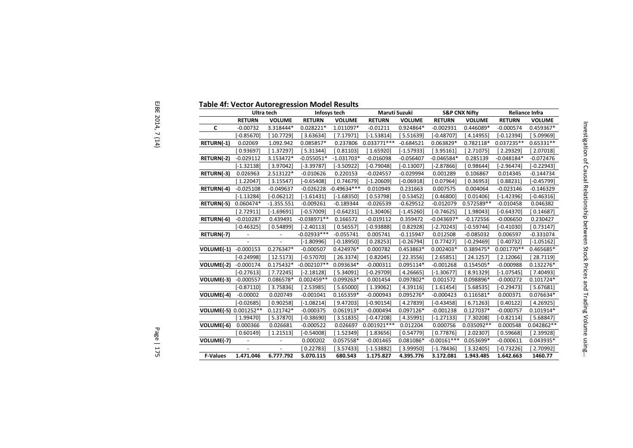|                       |                | Ultra tech     | Infosys tech  |               | Maruti Suzuki |               |               | <b>S&amp;P CNX Nifty</b> | <b>Reliance Infra</b> |                          |
|-----------------------|----------------|----------------|---------------|---------------|---------------|---------------|---------------|--------------------------|-----------------------|--------------------------|
|                       | <b>RETURN</b>  | <b>VOLUME</b>  | <b>RETURN</b> | <b>VOLUME</b> | <b>RETURN</b> | <b>VOLUME</b> | <b>RETURN</b> | <b>VOLUME</b>            | <b>RETURN</b>         | <b>VOLUME</b>            |
| C                     | $-0.00732$     | 3.318444*      | $0.028221*$   | 1.011097*     | $-0.01211$    | 0.924864*     | $-0.002931$   | 0.446089*                | $-0.000574$           | 0.459367*                |
|                       | $[-0.85670]$   | [ 10.7729]     | [3.63634]     | 7.17971]      | $[-1.53814]$  | [5.51639]     | $[-0.48707]$  | [4.14955]                | [-0.12394]            | [ 5.09969]               |
| RETURN(-1)            | 0.02069        | 1.092.942      | 0.085857*     | 0.237806      | $0.033771***$ | $-0.684521$   | 0.063829*     | 0.782118*                | 0.037235**            | $0.65331**$              |
|                       | 0.93697        | [1.37297]      | [5.31344]     | 0.81103       | [1.65920]     | $[-1.57933]$  | [3.95161]     | [2.71075]                | [2.29329]             | [2.07018]                |
| RETURN(-2)            | $-0.029112$    | 3.153472*      | $-0.055051*$  | $-1.031703*$  | $-0.016098$   | $-0.056407$   | $-0.046584*$  | 0.285139                 | $-0.048184*$          | $-0.072476$              |
|                       | $[-1.32138]$   | [3.97042]      | $[-3.39787]$  | [-3.50922]    | $[-0.79048]$  | $[-0.13007]$  | $[-2.87866]$  | 0.98644]                 | [-2.96474]            | $[-0.22943]$             |
| RETURN(-3)            | 0.026963       | 2.513122*      | $-0.010626$   | 0.220153      | $-0.024557$   | $-0.029994$   | 0.001289      | 0.106867                 | 0.014345              | $-0.144734$              |
|                       | 1.22047        | [3.15547]      | $[-0.65408]$  | [0.74679]     | $[-1.20609]$  | $[-0.06918]$  | [0.07964]     | [0.36953]                | [0.88231]             | $[-0.45799]$             |
| RETURN(-4)            | $-0.025108$    | $-0.049637$    | $-0.026228$   | $-0.49634***$ | 0.010949      | 0.231663      | 0.007575      | 0.004064                 | $-0.023146$           | $-0.146329$              |
|                       | $[-1.13284]$   | $[-0.06212]$   | $[-1.61431]$  | $[-1.68350]$  | [0.53798]     | [0.53452]     | [0.46800]     | [0.01406]                | $[-1.42396]$          | $[-0.46316]$             |
| RETURN(-5)            | 0.060474*      | $-1.355.551$   | $-0.009261$   | $-0.189344$   | $-0.026539$   | $-0.629512$   | $-0.012079$   | 0.572589**               | $-0.010458$           | 0.046382                 |
|                       | 2.72911        | $[-1.69691]$   | $[-0.57009]$  | $[-0.64231]$  | $[-1.30406]$  | $[-1.45260]$  | $[-0.74625]$  | [1.98043]                | $[-0.64370]$          | [0.14687]                |
| RETURN(-6)            | $-0.010287$    | 0.439491       | $-0.038971**$ | 0.166572      | $-0.019112$   | 0.359472      | $-0.043697*$  | $-0.172556$              | $-0.006650$           | 0.230427                 |
|                       | $[-0.46325]$   | [ 0.54899]     | $[-2.40113]$  | 0.56557       | $[-0.93888]$  | [0.82928]     | $[-2.70243]$  | $[-0.59744]$             | $[-0.41030]$          | [0.73147]                |
| RETURN(-7)            | ÷,             | $\blacksquare$ | $-0.02933***$ | $-0.055741$   | 0.005741      | $-0.115947$   | 0.012508      | $-0.085032$              | 0.006597              | $-0.331074$              |
|                       |                |                | $[-1.80996]$  | $[-0.18950]$  | [0.28253]     | $[-0.26794]$  | [0.77427]     | $[-0.29469]$             | [0.40732]             | $[-1.05162]$             |
| VOLUME(-1)            | $-0.000153$    | 0.276347*      | $-0.000507$   | 0.424976*     | 0.000782      | 0.453863*     | $0.002403*$   | 0.389475*                | $0.001770**$          | 0.465685*                |
|                       | $[-0.24998]$   | [12.5173]      | $[-0.57070]$  | 26.3374]      | [0.82045]     | 22.3556       | 2.65851       | 24.1257                  | [ 2.12066]            | $\left[ 28.7119 \right]$ |
| VOLUME(-2)            | $-0.000174$    | $0.175432*$    | $-0.002107**$ | 0.093634*     | $-0.000311$   | 0.095114*     | $-0.001268$   | 0.154505*                | $-0.000988$           | 0.132276*                |
|                       | $[-0.27613]$   | [7.72245]      | $[-2.18128]$  | 5.34091       | $[-0.29709]$  | [4.26665]     | $[-1.30677]$  | [ 8.91329]               | $[-1.07545]$          | [7.40493]                |
| VOLUME(-3)            | $-0.000557$    | 0.086578*      | $0.002459**$  | 0.099263*     | 0.001454      | 0.097802*     | 0.001572      | 0.098896*                | $-0.000272$           | $0.101724*$              |
|                       | $[-0.87110]$   | [3.75836]      | [2.53985]     | 5.65000       | [1.39062]     | [4.39116]     | [1.61454]     | [5.68535]                | $[-0.29473]$          | [5.67681]                |
| VOLUME(-4)            | $-0.00002$     | 0.020749       | $-0.001041$   | 0.165359*     | $-0.000943$   | 0.095276*     | $-0.000423$   | 0.116581*                | 0.000371              | 0.076634*                |
|                       | $[-0.02685]$   | [0.90258]      | $[-1.08214]$  | [9.47203]     | $[-0.90154]$  | 4.27839       | $[-0.43458]$  | 6.71263                  | [0.40122]             | [4.26925]                |
| VOLUME(-5) 0.001252** |                | $0.121742*$    | $-0.000375$   | $0.061913*$   | $-0.000494$   | 0.097126*     | $-0.001238$   | 0.127037*                | $-0.000757$           | $0.101914*$              |
|                       | 1.99470        | [5.37870]      | $[-0.38690]$  | 3.51835       | $[-0.47208]$  | 1.35991       | $[-1.27133]$  | [7.30208]                | $[-0.82114]$          | [5.68847]                |
| VOLUME(-6)            | 0.000366       | 0.026681       | $-0.000522$   | 0.026697      | $0.001921***$ | 0.012204      | 0.000756      | 0.035092**               | 0.000548              | 0.042862**               |
|                       | 0.60149        | [1.21513]      | $[-0.54008]$  | [1.52349]     | [1.83656]     | [ 0.54779]    | [0.77876]     | [2.02307]                | [0.59668]             | [2.39928]                |
| VOLUME(-7)            | $\blacksquare$ | ÷,             | 0.000202      | 0.057558*     | $-0.001465$   | 0.081086*     | $-0.00161***$ | 0.053699*                | $-0.000611$           | 0.043935*                |
|                       |                | L.             | [0.22783]     | 3.57433]      | $[-1.53882]$  | [3.99950]     | $[-1.78436]$  | 3.32405                  | $[-0.73226]$          | [2.70992]                |
| <b>F-Values</b>       | 1.471.046      | 6.777.792      | 5.070.115     | 680.543       | 1.175.827     | 4.395.776     | 3.172.081     | 1.943.485                | 1.642.663             | 1460.77                  |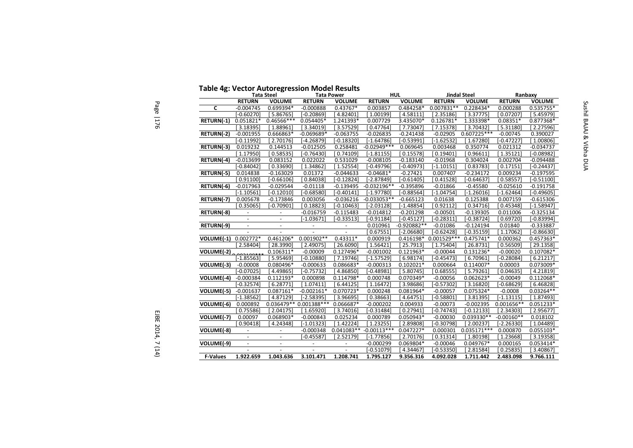# **Table 4g: Vector Autoregression Model Results Tata PowerTata Steel**

Page | 176

|                         |                          | <b>Tata Steel</b>        | Table +8' Pettor Autoregression model<br><b>Tata Power</b> |                          |                          | HUL.          |                         | Jindal Steel  | Ranbaxy       |               |
|-------------------------|--------------------------|--------------------------|------------------------------------------------------------|--------------------------|--------------------------|---------------|-------------------------|---------------|---------------|---------------|
|                         | <b>RETURN</b>            | <b>VOLUME</b>            | <b>RETURN</b>                                              | <b>VOLUME</b>            | <b>RETURN</b>            | <b>VOLUME</b> | <b>RETURN</b>           | <b>VOLUME</b> | <b>RETURN</b> | <b>VOLUME</b> |
| $\mathbf{C}$            | $-0.004745$              | 0.699394*                | $-0.000888$                                                | $0.43767*$               | 0.003857                 | 0.484258*     | $0.007831**$            | 0.228434*     | 0.000288      | 0.535755*     |
|                         | [-0.60270]               | [5.86765]                | $[-0.20869]$                                               | 4.82401                  | [1.00199]                | 4.58111       | [2.35186]               | [ 3.37775]    | [0.07207]     | 5.45979       |
| RETURN(-1)              | $0.051821*$              | $0.46566***$             | 0.054405*                                                  | 1.241393*                | 0.007729                 | 3.435070*     | 0.126781*               | 1.333398*     | $0.08351*$    | 0.877368*     |
|                         | [3.18395]                | [1.88961]                | 3.34019                                                    | [3.57529]                | [0.47764]                | [7.73047]     | [7.15378]               | [3.70432]     | [5.31180]     | [2.27596]     |
| RETURN(-2)              | $-0.001955$              | 0.666863*                | $-0.069689*$                                               | $-0.063755$              | $-0.026835$              | $-0.241438$   | $-0.02905$              | $0.607225***$ | $-0.00745$    | 0.390027      |
|                         | $[-0.11992]$             | 2.70176                  | $[-4.26879]$                                               | $[-0.18320]$             | $[-1.64786]$             | $[-0.53991]$  | $[-1.62532]$            | [1.67280]     | $[-0.47227]$  | [1.00806]     |
| RETURN(-3)              | 0.019232                 | 0.144513                 | $-0.012505$                                                | 0.258481                 | $-0.02949***$            | 0.069645      | 0.003468                | 0.350774      | 0.021312      | $-0.034737$   |
|                         | 1.17950                  | [0.58535]                | $[-0.76430]$                                               | [0.74109]                | $[-1.81155]$             | 0.15578       | [0.19401]               | [0.96611]     | [1.35121]     | $[-0.08982]$  |
| RETURN(-4)              | $-0.013699$              | 0.083152                 | 0.022022                                                   | 0.531029                 | $-0.008105$              | $-0.183140$   | $-0.01968$              | 0.304024      | 0.002704      | $-0.094488$   |
|                         | $[-0.84042]$             | 0.33690                  | 1.34862                                                    | 1.52554                  | [-0.49796]               | $[-0.40973]$  | $[-1.10151]$            | [0.83783]     | [0.17151]     | $[-0.24437]$  |
| RETURN(-5)              | 0.014838                 | $-0.163029$              | 0.01372                                                    | $-0.044633$              | $-0.04681*$              | $-0.27421$    | 0.007407                | $-0.234172$   | 0.009234      | $-0.197595$   |
|                         | [0.91100]                | $[-0.66106]$             | 0.84038                                                    | $[-0.12824]$             | $[-2.87849]$             | $[-0.61405]$  | [0.41528]               | $[-0.64637]$  | 0.58557       | $[-0.51100]$  |
| RETURN(-6)              | $-0.017963$              | $-0.029544$              | $-0.01118$                                                 | $-0.139495$              | $-0.032196**$            | $-0.395896$   | $-0.01866$              | $-0.45580$    | $-0.025610$   | $-0.191758$   |
|                         | $[-1.10561]$             | $[-0.12010]$             | $[-0.68580]$                                               | $[-0.40141]$             | $[-1.97780]$             | $[-0.88564]$  | $[-1.04754]$            | $[-1.26016]$  | $[-1.62464]$  | $[-0.49605]$  |
| RETURN(-7)              | 0.005678                 | $-0.173846$              | 0.003056                                                   | $-0.036216$              | $-0.033053**$            | $-0.665123$   | 0.01638                 | 0.125388      | 0.007159      | $-0.615306$   |
|                         | [0.35065]                | $[-0.70901]$             | 0.18823                                                    | $[-0.10463]$             | $[-2.03128]$             | $[-1.48854]$  | 0.92112                 | [0.34716]     | [0.45348]     | $[-1.58947]$  |
| RETURN(-8)              |                          |                          | $-0.016759$                                                | $-0.115483$              | $-0.014812$              | $-0.201298$   | $-0.00501$              | $-0.139305$   | 0.011006      | $-0.325134$   |
|                         | $\overline{a}$           | $\sim$                   | $[-1.03671]$                                               | $[-0.33513]$             | $[-0.91184]$             | $[-0.45127]$  | $-0.28311$              | $[-0.38724]$  | [0.69720]     | $[-0.83994]$  |
| RETURN(-9)              | $\overline{\phantom{a}}$ | $\overline{\phantom{a}}$ | $\overline{\phantom{a}}$                                   | $\overline{\phantom{a}}$ | 0.010961                 | $-0.920882**$ | $-0.01086$              | $-0.124194$   | 0.01840       | $-0.333887$   |
|                         |                          |                          |                                                            |                          | [0.67551]                | [-2.06680]    | $-0.62428$              | $[-0.35159]$  | [1.17062]     | $[-0.86630]$  |
| VOLUME(-1)              | $0.002772*$              | $0.461206*$              | $0.001902**$                                               | $0.43311*$               | 0.000919                 |               | $0.416198* 0.001529***$ | $0.475741*$   | 0.000362      | 0.457363*     |
|                         | 2.58404                  | 28.3990                  | 2.49075                                                    | 26.6090                  | [1.56421]                | 25.7913       | 1.75404                 | [26.8731]     | [0.56509]     | [29.1358]     |
| VOLUME(-2)              |                          | $0.106311*$              | $-0.00009$                                                 | 0.127496*                | $-0.001002$              | $0.121963*$   | $-0.00044$              | $0.131236*$   | $-0.00020$    | 0.107082*     |
|                         | $[-1.85563]$             | [5.95469]                | $[-0.10880]$                                               | [7.19746]                | $[-1.57529]$             | [6.98174]     | $[-0.45473]$            | [6.70961]     | $[-0.28084]$  | 6.21217       |
| VOLUME(-3)              | $-0.00008$               | 0.080496*                | $-0.000633$                                                | 0.086683*                | $-0.000313$              | $0.102021*$   | 0.000664                | 0.114007*     | 0.00003       | 0.073009*     |
|                         | $[-0.07025]$             | 4.49865                  | [-0.75732]                                                 | 4.86850                  | [-0.48981]               | [5.80745]     | 0.68555                 | [5.79261]     | [0.04635]     | [4.21819]     |
| $\overline{VOLUME(-4)}$ | $-0.000384$              | $0.112193*$              | 0.000898                                                   | 0.114798*                | 0.000748                 | 0.070349*     | $-0.00056$              | $0.062623*$   | $-0.00049$    | 0.112068*     |
|                         | $[-0.32574]$             | 6.28771                  | [1.07411]                                                  | 6.44125                  | [1.16472]                | 3.98686       | $[-0.57302]$            | [3.16820]     | $-0.68629$    | 6.46828       |
| $VOLUTIONE(-5)$         | $-0.001637$              | $0.087161*$              | $-0.002161*$                                               | 0.070723*                | 0.000248                 | 0.081964*     | $-0.00057$              | 0.075324*     | $-0.0008$     | $0.03264**$   |
|                         | $[-1.38562]$             | [ 4.87129]               | $[-2.58395]$                                               | 3.96695                  | [0.38663]                | 4.64751       | $[-0.58801]$            | [3.81395]     | $[-1.13115]$  | [1.87493]     |
| VOLUME(-6)              | 0.000892                 |                          | $0.036479**0.001388***$                                    | 0.066687*                | $-0.000202$              | 0.004933      | $-0.00073$              | $-0.002395$   | $0.001656**$  | 0.051233*     |
|                         | 0.75586                  | 2.04175                  | 1.65920                                                    | 3.74016                  | $[-0.31484]$             | 0.27941       | $[-0.74743]$            | $[-0.12133]$  | [2.34303]     | [2.95677]     |
| VOLUME(-7)              | 0.00097                  | 0.068903*                | $-0.000843$                                                | 0.025234                 | 0.000789                 | 0.050943*     | $-0.00030$              | 0.039330**    | $-0.00160**$  | 0.018102      |
|                         | 0.90418                  | 4.24348                  | $[-1.01323]$                                               | [1.42224]                | [1.23255]                | [2.89808]     | $-0.30798$              | [2.00237]     | $[-2.26330]$  | [1.04489]     |
| VOLUME(-8)              | $\overline{\phantom{a}}$ |                          | $-0.000348$                                                |                          | $0.041083** -0.00113***$ | $0.047227*$   | 0.000301                | $0.035171***$ | 0.000870      | 0.055103*     |
|                         |                          |                          | $-0.45587$                                                 | 2.52179                  | $[-1.77856]$             | 2.70176       | 0.31314                 | 1.80198       | [1.23668]     | 3.19358       |
| VOLUME(-9)              | $\blacksquare$           |                          |                                                            |                          | $-0.000299$              | 0.069804*     | $-0.00046$              | 0.049767*     | 0.000165      | 0.053414*     |
|                         |                          |                          |                                                            |                          | $-0.51079$               | 4.34467       | [-0.53350]              | [2.81584]     | [0.25835]     | 3.40867       |
| <b>F-Values</b>         | 1.922.659                | 1.043.636                | 3.101.471                                                  | 1.208.741                | 1.795.127                | 9.356.316     | 4.092.028               | 1.711.442     | 2.483.098     | 9.766.111     |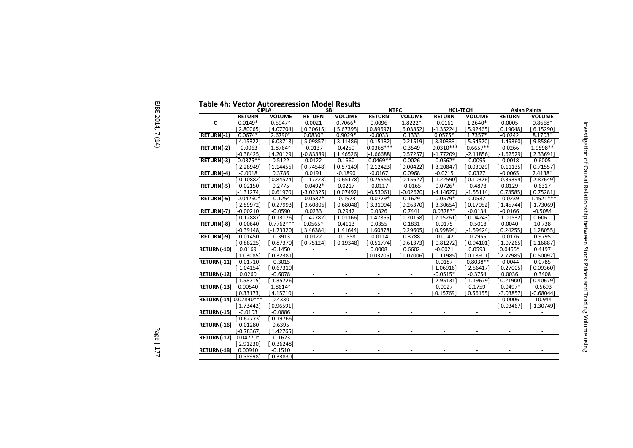| <b>Table 4h: Vector Autoregression Model Results</b> |               | <b>CIPLA</b>  |                          | <b>SBI</b>               | <b>NTPC</b>              |                          | <b>HCL-TECH</b>          |                          |                      | <b>Asian Paints</b>      |
|------------------------------------------------------|---------------|---------------|--------------------------|--------------------------|--------------------------|--------------------------|--------------------------|--------------------------|----------------------|--------------------------|
|                                                      | <b>RETURN</b> | <b>VOLUME</b> | <b>RETURN</b>            | <b>VOLUME</b>            | <b>RETURN</b>            | <b>VOLUME</b>            | <b>RETURN</b>            | <b>VOLUME</b>            | <b>RETURN</b>        | <b>VOLUME</b>            |
| C                                                    | $0.0149*$     | $0.5947*$     | 0.0021                   | $0.7066*$                | 0.0096                   | $1.8222*$                | $-0.0161$                | 1.2640*                  | 0.0005               | $0.8668*$                |
|                                                      | 2.80065       | 4.07704]      | 0.30615                  | 5.67395                  | 0.89697                  | 6.03852                  | $\overline{[-1.35224]}$  | 5.92465                  | 0.19048              | 6.15290]                 |
| RETURN(-1)                                           | $0.0674*$     | $2.6790*$     | $0.0830*$                | $0.9029*$                | $-0.0033$                | 0.1333                   | $0.0575*$                | $1.7357*$                | $-0.0242$            | 8.1703*                  |
|                                                      | 4.15322       | 6.03718]      | 5.09857                  | 3.11486                  | $[-0.15132]$             | 0.21519                  | 3.30333                  | 5.54570                  | $-1.49360$           | 9.85864]                 |
| RETURN(-2)                                           | $-0.0063$     | 1.8764*       | $-0.0137$                | 0.4259                   | $-0.0368***$             | 0.3549                   | $-0.0310***$             | $-0.6657**$              | $-0.0266$            | 1.9598**                 |
|                                                      | $[-0.38425]$  | 4.201291      | $-0.83889$               | 1.46526]                 | $[-1.66688]$             | 0.57257                  | $[-1.77209]$             | $-2.11856$               | $-1.62529$           | 2.33691]                 |
| RETURN(-3)                                           | $-0.0375**$   | 0.5122        | 0.0122                   | 0.1660                   | $-0.0469**$              | 0.0026                   | $-0.0562*$               | 0.0095                   | $-0.0018$            | 0.6005                   |
|                                                      | $[-2.28949]$  | 1.14456       | 0.74548                  | 0.57140                  | $[-2.12423]$             | 0.00422                  | $[-3.20847]$             | 0.03029                  | $-0.11135$           | 0.71557                  |
| RETURN(-4)                                           | $-0.0018$     | 0.3786        | 0.0191                   | $-0.1890$                | $-0.0167$                | 0.0968                   | $-0.0215$                | 0.0327                   | $-0.0065$            | 2.4138*                  |
|                                                      | $[-0.10882]$  | 0.84524       | 1.17223                  | $-0.65178$               | $-0.75555$               | 0.15627                  | $[-1.22590]$             | 0.10376                  | $-0.39394$           | 2.87649]                 |
| RETURN(-5)                                           | $-0.02150$    | 0.2775        | $-0.0492*$               | 0.0217                   | $-0.0117$                | $-0.0165$                | $-0.0726*$               | $-0.4878$                | 0.0129               | 0.6317                   |
|                                                      | $[-1.31274]$  | 0.61970       | $[-3.02325]$             | 0.07492                  | $-0.53061$               | $-0.02670$               | $-4.14627$               | $-1.55114]$              | 0.78585              | 0.75281                  |
| RETURN(-6)                                           | $-0.04260*$   | $-0.1254$     | $-0.0587*$               | $-0.1973$                | $-0.0729*$               | 0.1629                   | $-0.0579*$               | 0.0537                   | $-0.0239$            | $-1.4521***$             |
|                                                      | $[-2.59972]$  | $-0.27993$    | $[-3.60806]$             | $-0.68048$               | $[-3.31094]$             | 0.26370                  | $[-3.30654]$             | 0.17052                  | $-1.45744]$          | $[-1.73069]$             |
| RETURN(-7)                                           | $-0.00210$    | $-0.0590$     | 0.0233                   | 0.2942                   | 0.0326                   | 0.7441                   | $0.0378**$               | $-0.0134$                | $-0.0166$            | $-0.5084$                |
|                                                      | $[-0.12887]$  | $[-0.13176]$  | 1.427821                 | 1.01166                  | 1.47865                  | 1.20158                  | 2.15261                  | $-0.04243$               | $-1.01532$           | $-0.60611]$              |
| RETURN(-8)                                           | $-0.00640$    | $-0.7762***$  | $0.0565*$                | 0.4113                   | 0.0355                   | 0.1831                   | 0.0175                   | $-0.5018$                | 0.0040               | 10.738                   |
|                                                      | $[-0.39148]$  | $[-1.73320]$  | 3.46384                  | 1.41644                  | 1.60878                  | 0.29605                  | 0.99894                  | $-1.59424$               | 0.24255              | 1.28055]                 |
| RETURN(-9)                                           | $-0.01450$    | $-0.3913$     | 0.0122                   | $-0.0558$                | $-0.0114$                | 0.3788                   | $-0.0142$                | $-0.2955$                | $-0.0176$            | 0.9795                   |
|                                                      | $[-0.88225]$  | $[-0.87370]$  | 0.75124                  | $-0.19348$               | $-0.51774]$              | 0.61373                  | $[-0.81272]$             | $[-0.94101]$             | $[-1.07265]$         | 1.16887]                 |
| RETURN(-10)                                          | 0.0169        | $-0.1450$     | $\blacksquare$           | $\blacksquare$           | 0.0008                   | 0.6602                   | $-0.0021$                | 0.0593                   | $0.0455*$            | 0.4197                   |
|                                                      | 1.03085       | $-0.32381$    | $\omega$                 | $\blacksquare$           | 0.03705                  | 1.07006                  | $-0.11985$               | 0.18901                  | $\overline{2.77985}$ | 0.50092]                 |
| RETURN(-11)                                          | $-0.01710$    | $-0.3015$     | $\blacksquare$           | $\blacksquare$           | $\blacksquare$           | $\overline{\phantom{a}}$ | 0.0187                   | $-0.8038**$              | $-0.0044$            | 0.0785                   |
|                                                      | $[-1.04154]$  | $-0.67310$    | $\blacksquare$           | $\blacksquare$           | $\blacksquare$           | $\blacksquare$           | 1.06916                  | $-2.56417$               | $-0.27005$           | 0.09360                  |
| RETURN(-12)                                          | 0.0260        | $-0.6078$     | $\overline{\phantom{a}}$ | $\overline{\phantom{a}}$ | $\overline{\phantom{a}}$ | $\blacksquare$           | $-0.0515*$               | $-0.3754$                | 0.0036               | 0.3408                   |
|                                                      | [1.58715]     | $[-1.35726]$  |                          | $\overline{\phantom{a}}$ | $\overline{\phantom{a}}$ | $\overline{\phantom{a}}$ | $-2.95131$               | $-1.19679$               | 0.21900]             | 0.40679                  |
| RETURN(-13)                                          | 0.00540       | $1.8614*$     | $\mathbf{r}$             | $\mathcal{L}$            | $\omega$                 | $\equiv$                 | 0.0027                   | 0.1759                   | $-0.0497*$           | $-0.5693$                |
|                                                      | [0.33173]     | 4.15710]      | $\omega$                 | $\blacksquare$           | $\omega$                 | $\blacksquare$           | 0.15769                  | 0.56155                  | $-3.03857$           | $-0.68044$               |
| RETURN(-14) 0.02840***                               |               | 0.4330        | $\blacksquare$           | $\blacksquare$           | $\overline{\phantom{a}}$ | $\overline{\phantom{a}}$ | $\overline{\phantom{a}}$ | $\overline{\phantom{a}}$ | $-0.0006$            | $-10.944$                |
|                                                      | 1.73442       | 0.96591       | $\sim$                   | $\sim$                   | $\sim$                   | $\blacksquare$           | $\blacksquare$           |                          | $-0.03467$           | $-1.30749$               |
| RETURN(-15)                                          | $-0.0103$     | $-0.0886$     | $\blacksquare$           | $\blacksquare$           | $\blacksquare$           | $\blacksquare$           | $\blacksquare$           |                          |                      | $\overline{\phantom{a}}$ |
|                                                      | $[-0.62773]$  | $-0.19766$    |                          | $\overline{\phantom{a}}$ | $\overline{\phantom{a}}$ | $\overline{\phantom{a}}$ |                          |                          |                      |                          |
| RETURN(-16)                                          | $-0.01280$    | 0.6395        | $\omega$                 | $\sim$                   | $\sim$                   | $\sim$                   | $\blacksquare$           | $\mathcal{L}$            | $\equiv$             | $\sim$                   |
|                                                      | $[-0.78367]$  | 1.427651      | $\blacksquare$           | $\blacksquare$           | $\blacksquare$           | $\blacksquare$           | $\blacksquare$           | $\blacksquare$           | $\blacksquare$       | $\blacksquare$           |
| RETURN(-17)                                          | $0.04770*$    | $-0.1623$     | $\blacksquare$           | $\blacksquare$           | $\blacksquare$           | $\blacksquare$           | $\blacksquare$           | $\blacksquare$           | $\blacksquare$       | $\blacksquare$           |
|                                                      | 2.91230       | $-0.36248$    | $\sim$                   | $\blacksquare$           | $\blacksquare$           | $\blacksquare$           | $\blacksquare$           | $\blacksquare$           | $\blacksquare$       | $\omega$                 |
| RETURN(-18)                                          | 0.00910       | $-0.1510$     | $\blacksquare$           | $\overline{\phantom{a}}$ | $\overline{\phantom{a}}$ | $\overline{\phantom{a}}$ | $\overline{\phantom{a}}$ | $\blacksquare$           | $\blacksquare$       | $\overline{\phantom{a}}$ |
|                                                      | [0.55998]     | $-0.33830$    |                          |                          |                          |                          |                          |                          |                      |                          |
|                                                      |               |               |                          |                          |                          |                          |                          |                          |                      |                          |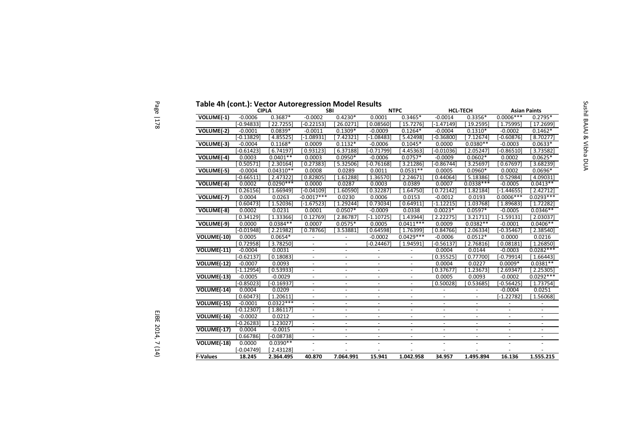| Table 4h (cont.): Vector Autoregression Model Results |              | <b>CIPLA</b> |                          | <b>SBI</b>               |                          | <b>NTPC</b>              |                | <b>HCL-TECH</b> | <b>Asian Paints</b> |             |
|-------------------------------------------------------|--------------|--------------|--------------------------|--------------------------|--------------------------|--------------------------|----------------|-----------------|---------------------|-------------|
| VOLUME(-1)                                            | $-0.0006$    | $0.3687*$    | $-0.0002$                | $0.4230*$                | 0.0001                   | $0.3465*$                | $-0.0014$      | $0.3356*$       | $0.0006***$         | $0.2795*$   |
|                                                       | $-0.94833$   | 22.72551     | $-0.22153$               | 26.0271                  | 0.08560                  | 15.7276                  | $[-1.47149]$   | 19.2595]        | 1.75995             |             |
| VOLUME(-2)                                            | $-0.0001$    | $0.0839*$    | $-0.0011$                | $0.1309*$                | $-0.0009$                | $0.1264*$                | $-0.0004$      | $0.1310*$       | $-0.0002$           |             |
|                                                       | $-0.13829$   | 4.855251     | $-1.08931$               | 7.42321                  | $[-1.08483]$             | 5.42498                  | $-0.36800$     | 7.126741        | $-0.60876$          |             |
| VOLUME(-3)                                            | $-0.0004$    | $0.1168*$    | 0.0009                   | $0.1132*$                | $-0.0006$                | $0.1045*$                | 0.0000         | $0.0380**$      | $-0.0003$           |             |
|                                                       | $[-0.61423]$ | 6.74197]     | 0.931231                 | 6.37188]                 | $[-0.71799]$             | 4.453631                 | $-0.01036$     | 2.05247         | $-0.86510$          |             |
| VOLUME(-4)                                            | 0.0003       | $0.0401**$   | 0.0003                   | $0.0950*$                | $-0.0006$                | $0.0757*$                | $-0.0009$      | $0.0602*$       | 0.0002              |             |
|                                                       | 0.50571      | 2.30164      | 0.27383                  | 5.32506                  | $-0.76168$               | 3.21286                  | $-0.86744]$    | 3.25697         | 0.67697             |             |
| VOLUME(-5)                                            | $-0.0004$    | $0.04310**$  | 0.0008                   | 0.0289                   | 0.0011                   | $0.0531**$               | 0.0005         | $0.0960*$       | 0.0002              |             |
|                                                       | $-0.66511$   | 2.47322      | 0.82805                  | 1.61288                  | 1.36570                  | 2.24671                  | 0.44064        | 5.18386         | 0.52984             |             |
| VOLUME(-6)                                            | 0.0002       | $0.0290***$  | 0.0000                   | 0.0287                   | 0.0003                   | 0.0389                   | 0.0007         | $0.0338***$     | $-0.0005$           |             |
|                                                       | 0.26156      | 1.66949      | $[-0.04109]$             | 1.60590                  | 0.32287                  | 1.64750]                 | 0.72142        | 1.82184         | $-1.44655$          |             |
| VOLUME(-7)                                            | 0.0004       | 0.0263       | $-0.0017***$             | 0.0230                   | 0.0006                   | 0.0153                   | $-0.0012$      | 0.0193          | $0.0006***$         | $0.0293***$ |
|                                                       | 0.60473      | 1.52036      | $[-1.67523]$             | 1.29244                  | 0.73034                  | 0.64911                  | $[-1.12215]$   | 1.03768]        | 1.89683             |             |
| VOLUME(-8)                                            | 0.0002       | 0.0231       | 0.0001                   | $0.0507*$                | $-0.0009$                | 0.0338                   | $0.0023*$      | $0.0597*$       | $-0.0005$           |             |
|                                                       | 0.34129      | 1.33366      | 0.12769                  | 2.86787                  | $-1.10725$               | 1.43944                  | 2.22275        | 3.21711]        | $-1.59131$          |             |
| VOLUME(-9)                                            | 0.0000       | $0.0384**$   | 0.0007                   | $0.0575*$                | 0.0005                   | $0.0411***$              | 0.0009         | $0.0382**$      | $-0.0001$           |             |
|                                                       | $[-0.01948]$ | 2.21982      | 0.78766                  | 3.53881                  | 0.64598                  | [1.76399]                | 0.84766        | 2.06334]        | $-0.35467$          |             |
| VOLUME(-10)                                           | 0.0005       | $0.0654*$    | $\blacksquare$           | $\blacksquare$           | $-0.0002$                | $0.0429***$              | $-0.0006$      | $0.0512*$       | 0.0000              |             |
|                                                       | [0.72958]    | 3.78250      | $\blacksquare$           | $\blacksquare$           | $[-0.24467]$             | 1.94591                  | $-0.56137$     | 2.76816]        | 0.08181             |             |
| VOLUME(-11)                                           | $-0.0004$    | 0.0031       | $\overline{\phantom{a}}$ | $\overline{\phantom{a}}$ | $\overline{\phantom{a}}$ | $\overline{\phantom{a}}$ | 0.0004         | 0.0144          | $-0.0003$           |             |
|                                                       | $[-0.62137]$ | 0.18083      | $\overline{\phantom{a}}$ | $\overline{\phantom{a}}$ | $\blacksquare$           | $\overline{\phantom{a}}$ | 0.35525        | 0.777001        | $-0.79914$          |             |
| VOLUME(-12)                                           | $-0.0007$    | 0.0093       |                          | $\blacksquare$           | $\overline{\phantom{a}}$ |                          | 0.0004         | 0.0227          | $0.0009*$           |             |
|                                                       | $[-1.12954]$ | 0.53933      | $\overline{\phantom{a}}$ | $\blacksquare$           | $\overline{\phantom{a}}$ | $\overline{\phantom{a}}$ | 0.37677        | 1.23673         | 2.69347             |             |
| VOLUME(-13)                                           | $-0.0005$    | $-0.0029$    |                          | $\overline{\phantom{a}}$ | $\overline{\phantom{a}}$ |                          | 0.0005         | 0.0093          | $-0.0002$           |             |
|                                                       | $[-0.85023]$ | $-0.16937$   |                          |                          |                          |                          | 0.50028        | 0.53685         | $-0.56425$          |             |
| VOLUME(-14)                                           | 0.0004       | 0.0209       |                          | $\blacksquare$           |                          |                          |                |                 | $-0.0004$           |             |
|                                                       | [0.60473]    | [1.20611]    | $\blacksquare$           | $\blacksquare$           |                          |                          |                |                 | $[-1.22782]$        |             |
| VOLUME(-15)                                           | $-0.0001$    | $0.0322***$  |                          | $\overline{a}$           | $\blacksquare$           | $\blacksquare$           |                |                 |                     |             |
|                                                       | $[-0.12307]$ | 1.86117      | $\blacksquare$           | $\overline{\phantom{a}}$ | $\overline{\phantom{a}}$ | $\overline{\phantom{a}}$ |                |                 |                     |             |
| VOLUME(-16)                                           | $-0.0002$    | 0.0212       | $\mathbf{r}$             | $\equiv$                 | $\omega$                 | $\omega$                 | $\blacksquare$ | $\bar{a}$       | $\blacksquare$      |             |
|                                                       | $[-0.26283]$ | 1.23027      | $\omega$                 | $\blacksquare$           | $\omega$                 | $\overline{\phantom{a}}$ | $\blacksquare$ | $\blacksquare$  | $\blacksquare$      |             |
| $VOLUTIONE(-17)$                                      | 0.0004       | $-0.0015$    | $\blacksquare$           | $\blacksquare$           | $\blacksquare$           | $\overline{\phantom{a}}$ | $\blacksquare$ | $\omega$        | $\blacksquare$      |             |
|                                                       | 0.66786      | $[-0.08738]$ | $\omega$                 | $\omega$                 | $\sim$                   | $\sim$                   | $\omega$       | $\blacksquare$  | $\blacksquare$      |             |
| VOLUME(-18)                                           | 0.0000       | $0.0390**$   | $\omega$                 | $\overline{\phantom{a}}$ |                          |                          |                |                 |                     |             |
|                                                       | $[-0.04749]$ | [2.43128]    |                          |                          |                          |                          |                |                 |                     |             |
| <b>F-Values</b>                                       | 18.245       | 2.364.495    | 40.870                   | 7.064.991                | 15.941                   | 1.042.958                | 34.957         | 1.495.894       | 16.136              | 1.555.215   |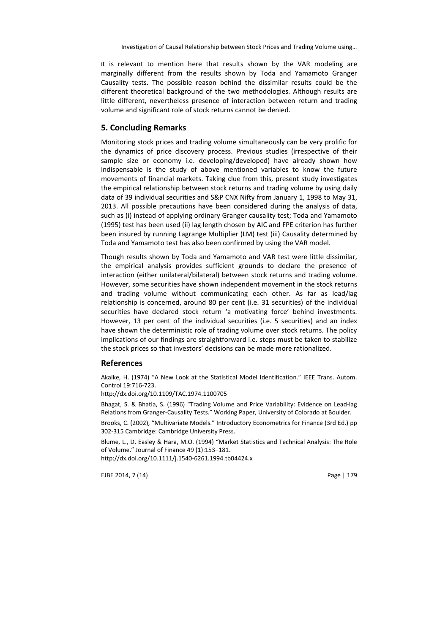It is relevant to mention here that results shown by the VAR modeling are marginally different from the results shown by Toda and Yamamoto Granger Causality tests. The possible reason behind the dissimilar results could be the different theoretical background of the two methodologies. Although results are little different, nevertheless presence of interaction between return and trading volume and significant role of stock returns cannot be denied.

### **5. Concluding Remarks**

Monitoring stock prices and trading volume simultaneously can be very prolific for the dynamics of price discovery process. Previous studies (irrespective of their sample size or economy i.e. developing/developed) have already shown how indispensable is the study of above mentioned variables to know the future movements of financial markets. Taking clue from this, present study investigates the empirical relationship between stock returns and trading volume by using daily data of 39 individual securities and S&P CNX Nifty from January 1, 1998 to May 31, 2013. All possible precautions have been considered during the analysis of data, such as (i) instead of applying ordinary Granger causality test; Toda and Yamamoto (1995) test has been used (ii) lag length chosen by AIC and FPE criterion has further been insured by running Lagrange Multiplier (LM) test (iii) Causality determined by Toda and Yamamoto test has also been confirmed by using the VAR model.

Though results shown by Toda and Yamamoto and VAR test were little dissimilar, the empirical analysis provides sufficient grounds to declare the presence of interaction (either unilateral/bilateral) between stock returns and trading volume. However, some securities have shown independent movement in the stock returns and trading volume without communicating each other. As far as lead/lag relationship is concerned, around 80 per cent (i.e. 31 securities) of the individual securities have declared stock return 'a motivating force' behind investments. However, 13 per cent of the individual securities (i.e. 5 securities) and an index have shown the deterministic role of trading volume over stock returns. The policy implications of our findings are straightforward i.e. steps must be taken to stabilize the stock prices so that investors' decisions can be made more rationalized.

#### **References**

Akaike, H. (1974) "A New Look at the Statistical Model Identification." IEEE Trans. Autom. Control 19:716-723.

http://dx.doi.org/10.1109/TAC.1974.1100705

Bhagat, S. & Bhatia, S. (1996) "Trading Volume and Price Variability: Evidence on Lead-lag Relations from Granger-Causality Tests." Working Paper, University of Colorado at Boulder.

Brooks, C. (2002), "Multivariate Models." Introductory Econometrics for Finance (3rd Ed.) pp 302-315 Cambridge: Cambridge University Press.

Blume, L., D. Easley & Hara, M.O. (1994) "Market Statistics and Technical Analysis: The Role of Volume." Journal of Finance 49 (1):153–181.

http://dx.doi.org/10.1111/j.1540-6261.1994.tb04424.x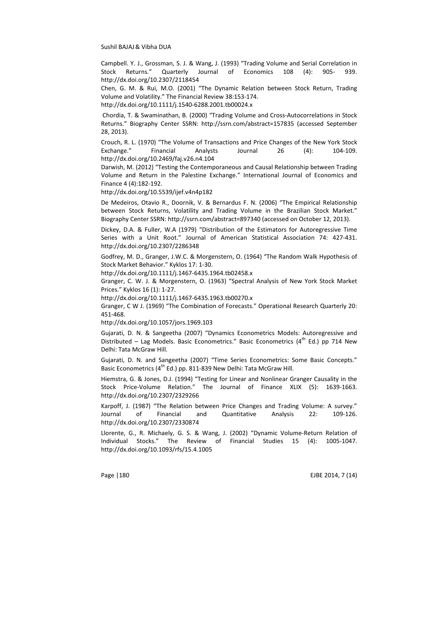Campbell. Y. J., Grossman, S. J. & Wang, J. (1993) "Trading Volume and Serial Correlation in Stock Returns." Quarterly Journal of Economics 108 (4): 905- 939. http://dx.doi.org/10.2307/2118454

Chen, G. M. & Rui, M.O. (2001) "The Dynamic Relation between Stock Return, Trading Volume and Volatility." The Financial Review 38:153-174.

http://dx.doi.org/10.1111/j.1540-6288.2001.tb00024.x

 Chordia, T. & Swaminathan, B. (2000) "Trading Volume and Cross-Autocorrelations in Stock Returns." Biography Center SSRN: http://ssrn.com/abstract=157835 (accessed September 28, 2013).

Crouch, R. L. (1970) "The Volume of Transactions and Price Changes of the New York Stock Exchange." Financial Analysts Journal 26 (4): 104-109. http://dx.doi.org/10.2469/faj.v26.n4.104

Darwish, M. (2012) "Testing the Contemporaneous and Causal Relationship between Trading Volume and Return in the Palestine Exchange." International Journal of Economics and Finance 4 (4):182-192.

http://dx.doi.org/10.5539/ijef.v4n4p182

De Medeiros, Otavio R., Doornik, V. & Bernardus F. N. (2006) "The Empirical Relationship between Stock Returns, Volatility and Trading Volume in the Brazilian Stock Market." Biography Center SSRN: http://ssrn.com/abstract=897340 (accessed on October 12, 2013).

Dickey, D.A. & Fuller, W.A (1979) "Distribution of the Estimators for Autoregressive Time Series with a Unit Root." Journal of American Statistical Association 74: 427-431. http://dx.doi.org/10.2307/2286348

Godfrey, M. D., Granger, J.W.C. & Morgenstern, O. (1964) "The Random Walk Hypothesis of Stock Market Behavior." Kyklos 17: 1-30.

http://dx.doi.org/10.1111/j.1467-6435.1964.tb02458.x

Granger, C. W. J. & Morgenstern, O. (1963) "Spectral Analysis of New York Stock Market Prices." Kyklos 16 (1): 1-27.

http://dx.doi.org/10.1111/j.1467-6435.1963.tb00270.x

Granger, C W J. (1969) "The Combination of Forecasts." Operational Research Quarterly 20: 451-468.

http://dx.doi.org/10.1057/jors.1969.103

Gujarati, D. N. & Sangeetha (2007) "Dynamics Econometrics Models: Autoregressive and Distributed – Lag Models. Basic Econometrics." Basic Econometrics ( $4<sup>th</sup>$  Ed.) pp 714 New Delhi: Tata McGraw Hill.

Gujarati, D. N. and Sangeetha (2007) "Time Series Econometrics: Some Basic Concepts." Basic Econometrics (4<sup>th</sup> Ed.) pp. 811-839 New Delhi: Tata McGraw Hill.

Hiemstra, G. & Jones, D.J. (1994) "Testing for Linear and Nonlinear Granger Causality in the Stock Price-Volume Relation." The Journal of Finance XLIX (5): 1639-1663. http://dx.doi.org/10.2307/2329266

Karpoff, J. (1987) "The Relation between Price Changes and Trading Volume: A survey." Journal of Financial and Quantitative Analysis 22: 109-126. http://dx.doi.org/10.2307/2330874

Llorente, G., R. Michaely, G. S. & Wang, J. (2002) "Dynamic Volume-Return Relation of Individual Stocks." The Review of Financial Studies 15 (4): 1005-1047. http://dx.doi.org/10.1093/rfs/15.4.1005

Page 1180 **EJBE 2014. 7 (14)**